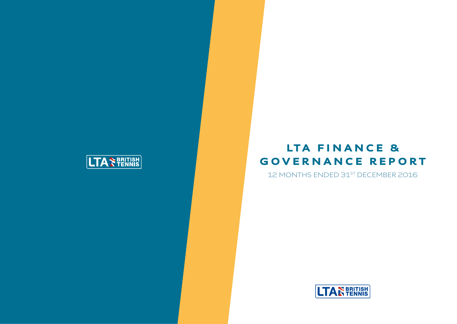# LTA FINANCE & GOVERNANCE REPORT 12 MONTHS ENDED 31<sup>ST</sup> DECEMBER 2016



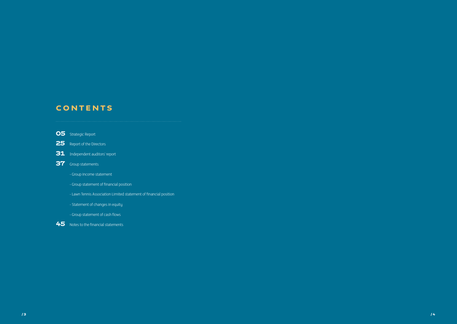/ 3 / 4

# **CONTENTS**

- **O5** Strategic Report
- 25 Report of the Directors
- 31 Independent auditors' report
- **37** Group statements
	- Group income statement
	- Group statement of financial position
	- Lawn Tennis Association Limited statement of financial position
	- Statement of changes in equity
	- Group statement of cash flows

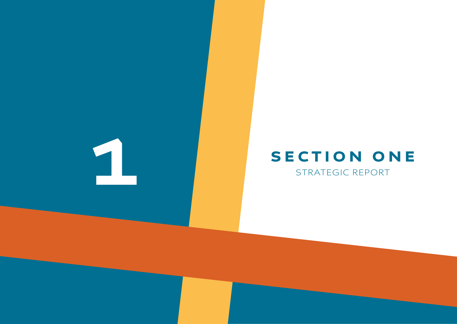

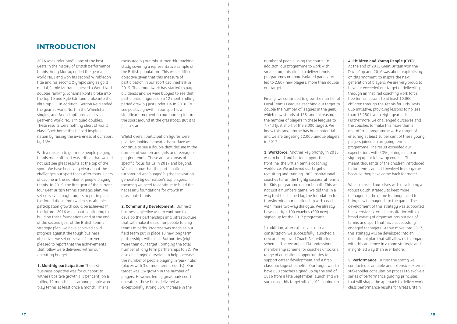number of people using the courts. In addition, our programme to work with smaller organisations to deliver tennis programmes on more isolated park courts led to 2,607 new players, more than double our target.

Finally, we continued to grow the number of Local Tennis Leagues, reaching our target to double the number of leagues in the year, which now stands at 158, and increasing the number of players in these leagues to 7,743 (just short of the 8,000 target). We know this programme has huge potential and we are targeting 12,000 unique players in 2017.

**3. Workforce:** Another key priority in 2016 was to build and better support the frontline: the British tennis coaching workforce. We achieved our target of recruiting and training 900 inspirational coaches to run the highly successful Tennis for Kids programme on our behalf. This was not just a numbers game. We did this in a way that has helped lay the foundation for transforming our relationship with coaches with more two-way dialogue. We already have nearly 1,100 coaches (500 new) signed up for the 2017 programme.

In addition, after extensive external consultation, we successfully launched a new and improved Coach Accreditation scheme. The revamped LTA professional membership scheme for coaches unlocks a range of educational opportunities to support career development and a firstclass package of benefits. Our target was to have 850 coaches signed up by the end of 2016 from a late September launch and we surpassed this target with 1,100 signing up.

#### **4. Children and Young People (CYP):**

**5. Performance:** During the spring we conducted a valuable and extensive external stakeholder consultation process to evolve a series of performance guiding principles that will shape the approach to deliver world class performance results for Great Britain.

At the end of 2015 Great Britain won the Davis Cup and 2016 was about capitalising on this 'moment' to inspire the next generation of players. We are very proud to have far exceeded our target of delivering, through an inspired coaching work force, free tennis lessons to at least 10,000 children through the Tennis for Kids Davis Cup initiative, providing lessons to no less than 13,250 five to eight year olds. Furthermore, we challenged ourselves and the coaches to make this more than a one-off trial programme with a target of ensuring at least 10 per cent of these young players joined an on-going tennis programme. The result exceeded our expectations with 43% joining a club or signing up for follow-up courses. That meant thousands of the children introduced to fun tennis are still involved in our game because they have come back for more!

We also tasked ourselves with developing a robust youth strategy to keep more teenagers in the game for longer, and to bring new teenagers into the game. The development of this strategy was supported by extensive external consultation with a broad variety of organisations outside of tennis and sport that have successfully engaged teenagers. As we move into 2017, this strategy will be developed into an operational plan that will allow us to engage with this audience in a more strategic and insight-led way than ever before.

2016 was undoubtedly one of the best years in the history of British performance tennis. Andy Murray ended the year at world No.1 and won his second Wimbledon title and his second Olympic singles gold medal, Jamie Murray achieved a World No.1 doubles ranking, Johanna Konta broke into the top 10 and Kyle Edmund broke into the elite top 50. In addition, Gordon Reid ended the year as world No.1 in the Wheelchair singles, and Andy Lapthorne achieved year-end World No. 1 in quad doubles. These results were nothing short of world class. Back home this helped inspire a nation by raising the awareness of our sport by 13%.

With a mission to get more people playing tennis more often, it was critical that we did not just see great results at the top of the sport. We have been very clear about the challenges our sport faces after many years of decline in the number of people playing tennis. In 2015, the first year of the current four year British tennis strategic plan, we set ourselves tough targets to put in place the foundations from which sustainable participation growth could be achieved in the future. 2016 was about continuing to build on these foundations and at the end of the second year of the British tennis strategic plan, we have achieved solid progress against the tough business objectives we set ourselves. I am very pleased to report that the achievements that follow were delivered within our operating budget.

**1. Monthly participation:** The first business objective was for our sport to witness positive growth (+1 per cent) on a rolling 12 month basis among people who play tennis at least once a month. This is

measured by our robust monthly tracking study covering a representative sample of the British population. This was a difficult objective given that this measure of participation in our sport declined 8% in 2015. The groundwork has started to pay dividends and we were buoyed to see that participation figures on a 12 month rolling period grew by just under 1% in 2016. To see positive growth in our sport is a significant moment on our journey to turn the sport around at the grassroots. But it is just a start.

Whilst overall participation figures were positive, looking beneath the surface we continue to see a double digit decline in the number of women and girls and teenagers playing tennis. These are two areas of specific focus for us in 2017 and beyond. We also know that the participation turnaround was buoyed by the inspiration generated by our nation's top players, meaning we need to continue to build the necessary foundations for growth in grassroots tennis.

**2. Community Development:** Our next business objective was to continue to develop the partnerships and infrastructure that will make it easier for people to play tennis in parks. Progress was made as our field team put in place 18 new long term partnerships with Local Authorities (eight more than our target), bringing the total number of long term partnerships to 52. We also challenged ourselves to help increase the number of people playing in 'park hubs' (places with 3 or more tennis courts). Our target was 3% growth in the number of players. However, led by great park court operators, these hubs delivered an exceptionally strong 36% increase in the

### INTRODUCTION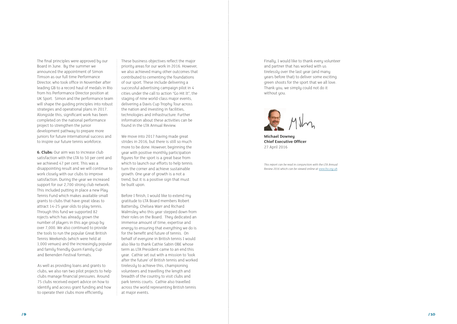Finally, I would like to thank every volunteer and partner that has worked with us tirelessly over the last year (and many years before that) to deliver some exciting green shoots for the sport that we all love. Thank you, we simply could not do it without you.



**Michael Downey Chief Executive Officer** 27 April 2016

*This report can be read in conjunction with the LTA Annual Review 2016 which can be viewed online at [www.lta.org.uk](https://www.lta.org.uk/) .*

The final principles were approved by our Board in June. By the summer we announced the appointment of Simon Timson as our full time Performance Director, who took office in November after leading GB to a record haul of medals in Rio from his Performance Director position at UK Sport. Simon and the performance team will shape the guiding principles into robust strategies and operational plans in 2017. Alongside this, significant work has been completed on the national performance project to strengthen the junior development pathway to prepare more juniors for future international success and to inspire our future tennis workforce.

**6. Clubs:** Our aim was to increase club satisfaction with the LTA to 50 per cent and we achieved 47 per cent. This was a disappointing result and we will continue to work closely with our clubs to improve satisfaction. During the year we increased support for our 2,700 strong club network. This included putting in place a new Play Tennis Fund which makes available small grants to clubs that have great ideas to attract 14-25 year olds to play tennis. Through this fund we supported 82 rojects which has already grown the number of players in this age group by over 7,000. We also continued to provide the tools to run the popular Great British Tennis Weekends (which were held at 1,000 venues) and the increasingly popular and family friendly Quorn Family Cup and Benenden Festival formats.

As well as providing loans and grants to clubs, we also ran two pilot projects to help clubs manage financial pressures. Around 75 clubs received expert advice on how to identify and access grant funding and how to operate their clubs more efficiently.

These business objectives reflect the major priority areas for our work in 2016. However, we also achieved many other outcomes that contributed to cementing the foundations of our sport. These include delivering a successful advertising campaign pilot in 4 cities under the call to action "Go Hit It", the staging of nine world-class major events, delivering a Davis Cup Trophy Tour across the nation and investing in facilities, technologies and infrastructure. Further information about these activities can be found in the LTA Annual Review.

We move into 2017 having made great strides in 2016, but there is still so much more to be done. However, beginning the year with positive monthly participation figures for the sport is a great base from which to launch our efforts to help tennis turn the corner and achieve sustainable growth. One year of growth is a not a trend, but it is a positive sign that must be built upon.

Before I finish, I would like to extend my gratitude to LTA Board members Robert Battersby, Chelsea Warr and Richard Walmsley who this year stepped down from their roles on the Board. They dedicated an immense amount of time, expertise and energy to ensuring that everything we do is for the benefit and future of tennis. On behalf of everyone in British tennis I would also like to thank Cathie Sabin OBE whose term as LTA President came to an end this year. Cathie set out with a mission to 'look after the future' of British tennis and worked tirelessly to achieve this, championing volunteers and travelling the length and breadth of the country to visit clubs and park tennis courts. Cathie also travelled across the world representing British tennis at major events.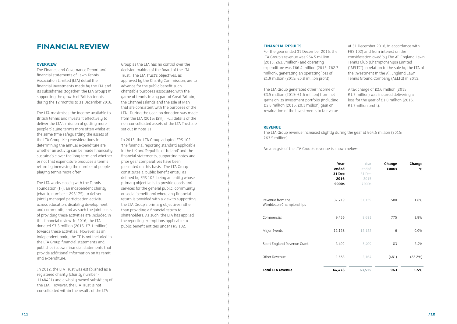#### **OVERVIEW**

The Finance and Governance Report and financial statements of Lawn Tennis Association Limited (LTA) detail the financial investments made by the LTA and its subsidiaries (together 'the LTA Group') in supporting the growth of British tennis during the 12 months to 31 December 2016.

The LTA maximises the income available to British tennis and invests it effectively to deliver the LTA's mission of getting more people playing tennis more often whilst at the same time safeguarding the assets of the LTA Group. Key considerations in determining the annual expenditure are whether an activity can be made financially sustainable over the long term and whether or not that expenditure produces a tennis return by increasing the number of people playing tennis more often.

The LTA works closely with the Tennis Foundation (TF), an independent charity (charity number – 298175), to deliver jointly managed participation activity across education, disability development and community and as such the joint costs of providing these activities are included in this financial review. In 2016, the LTA donated £7.3 million (2015: £7.1 million) towards these activities. However, as an independent body, the TF is not included in the LTA Group financial statements and publishes its own financial statements that provide additional information on its remit and expenditure.

In 2012, the LTA Trust was established as a registered charity (charity number - 1148421) and a wholly owned subsidiary of the LTA. However, the LTA Trust is not consolidated within the results of the LTA

Group as the LTA has no control over the decision making of the Board of the LTA Trust. The LTA Trust's objectives, as approved by the Charity Commission, are to advance for the public benefit such charitable purposes associated with the game of tennis in any part of Great Britain, the Channel Islands and the Isle of Man that are consistent with the purposes of the LTA. During the year, no donation was made from the LTA (2015: £nil). Full details of the non-consolidated assets of the LTA Trust are set out in note 11.

In 2015, the LTA Group adopted FRS 102 'the financial reporting standard applicable in the UK and Republic of Ireland' and the financial statements, supporting notes and prior year comparatives have been presented on this basis. The LTA Group constitutes a 'public benefit entity' as defined by FRS 102, being an entity whose primary objective is to provide goods and services for the general public, community or social benefit and where any financial return is provided with a view to supporting the LTA Group's primary objectives rather than providing a financial return to shareholders. As such, the LTA has applied the reporting exemptions applicable to public benefit entities under FRS 102.

#### **FINANCIAL RESULTS**

For the year ended 31 December 2016, the LTA Group's revenue was £64.5 million (2015: £63.5million) and operating expenditure was £66.4 million (2015: £62.7 million), generating an operating loss of £1.9 million (2015: £0.8 million profit).

The LTA Group generated other income of £3.5 million (2015: £1.6 million) from net gains on its investment portfolio (including £2.8 million (2015: £0.1 million) gain on revaluation of the investments to fair value

at 31 December 2016, in accordance with FRS 102) and from interest on the consideration owed by The All England Lawn Tennis Club (Championships) Limited ("AELTC") in relation to the sale by the LTA of the investment in the All England Lawn Tennis Ground Company (AELTG) in 2013.

A tax charge of £2.6 million (2015: £1.2 million) was incurred delivering a loss for the year of £1.0 million (2015: £1.2million profit).

#### **REVENUE**

The LTA Group revenue increased slightly during the year at £64.5 million (2015: £63.5 million).

An analysis of the LTA Group's revenue is shown below:

|                                             | Year<br>ended<br>31 Dec<br>2016<br>£000s | Year<br>ended<br>31 Dec<br>2015<br>£000s | Change<br>£000s | Change<br>% |
|---------------------------------------------|------------------------------------------|------------------------------------------|-----------------|-------------|
| Revenue from the<br>Wimbledon Championships | 37,719                                   | 37,139                                   | 580             | 1.6%        |
| Commercial                                  | 9,456                                    | 8,681                                    | 775             | 8.9%        |
| Major Events                                | 12,128                                   | 12,122                                   | 6               | 0.0%        |
| Sport England Revenue Grant                 | 3,492                                    | 3,409                                    | 83              | 2.4%        |
| Other Revenue                               | 1,683                                    | 2,164                                    | (481)           | $(22.2\%)$  |
| <b>Total LTA revenue</b>                    | 64,478                                   | 63,515                                   | 963             | 1.5%        |

### FINANCIAL REVIEW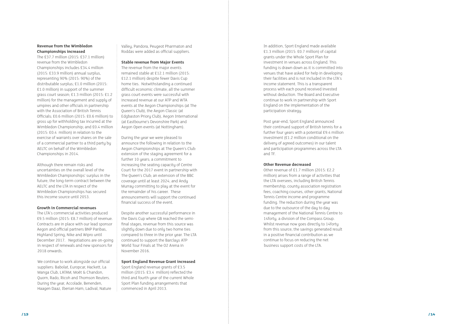#### **Revenue from the Wimbledon Championships increased**

The £37.7 million (2015: £37.1 million) revenue from the Wimbledon Championships includes £34.4 million (2015: £33.9 million) annual surplus, representing 90% (2015: 90%) of the distributable surplus; £1.0 million (2015: £1.0 million) in support of the summer grass court season; £1.3 million (2015: £1.2 million) for the management and supply of umpires and other officials in partnership with the Association of British Tennis Officials; £0.6 million (2015: £0.6 million) to gross up for withholding tax incurred at the Wimbledon Championship; and £0.4 million (2015: £0.4 million) in relation to the exercise of warrants over shares on the sale of a commercial partner to a third party by AELTC on behalf of the Wimbledon Championships in 2014.

Although there remain risks and uncertainties on the overall level of the Wimbledon Championships' surplus in the future, the long-term contract between the AELTC and the LTA in respect of the Wimbledon Championships has secured this income source until 2053.

#### **Growth in Commercial revenues**

The LTA's commercial activities produced £9.5 million (2015: £8.7 million) of revenue. Contracts are in place with our lead sponsor Aegon and official partners BNP Paribas, Highland Spring, Nike and Wipro until December 2017. Negotiations are on-going in respect of renewals and new sponsors for 2018 onwards.

We continue to work alongside our official suppliers: Babolat, Europcar, Hackett, La Manga Club, LATAM, Moët & Chandon, Quorn, Rado, Ricoh and Thomson Reuters. During the year, Accolade, Benenden, Haagen Daaz, Iberian Ham, Ladival, Nature Valley, Pandora, Peugeot Pharmaton and Roddas were added as official suppliers.

#### **Stable revenue from Major Events**

The revenue from the major events remained stable at £12.1 million (2015: £12.1 million) despite fewer Davis Cup home ties. Notwithstanding a continued difficult economic climate, all the summer grass court events were successful with increased revenue at our ATP and WTA events at the Aegon Championships (at The Queen's Club), the Aegon Classic (at Edgbaston Priory Club), Aegon International (at Eastbourne's Devonshire Park) and Aegon Open events (at Nottingham).

During the year we were pleased to announce the following in relation to the Aegon Championships at The Queen's Club: extension of the staging agreement for a further 10 years; a commitment to increasing the seating capacity of Centre Court for the 2017 event in partnership with The Queen's Club; an extension of the BBC coverage until at least 2024; and Andy Murray committing to play at the event for the remainder of his career. These announcements will support the continued financial success of the event.

Despite another successful performance in the Davis Cup where GB reached the semifinal stages, revenue from this source was slightly down due to only two home ties compared to three in the prior year. The LTA continued to support the Barclays ATP World Tour Finals at The O2 Arena in November 2016.

#### **Sport England Revenue Grant increased**

Sport England revenue grants of £3.5 million (2015: £3.4 million) reflected the third and fourth year of the current Whole Sport Plan funding arrangements that commenced in April 2013.

In addition, Sport England made available £1.3 million (2015: £0.7 million) of capital grants under the Whole Sport Plan for investment in venues across England. This funding is drawn down as it is committed into venues that have asked for help in developing their facilities and is not included in the LTA's income statement. This is a transparent process with each pound received invested without deduction. The Board and Executive continue to work in partnership with Sport England on the implementation of the participation strategy.

Post year-end, Sport England announced their continued support of British tennis for a further four years with a potential £9.4 million investment (£1.2 million conditional on the delivery of agreed outcomes) in our talent and participation programmes across the LTA and TF.

#### **Other Revenue decreased**

Other revenue of £1.7 million (2015: £2.2 million) arises from a range of activities that the LTA oversees, including British Tennis membership, county association registration fees, coaching courses, other grants, National Tennis Centre income and programme funding. The reduction during the year was due to the outsource of the day to day management of the National Tennis Centre to 14forty, a division of the Compass Group. Whilst revenue now goes directly to 14forty from this source, the savings generated result in a positive financial contribution as we continue to focus on reducing the net business support costs of the LTA.

 $/$  13  $/$  14  $/$  14  $/$  14  $/$  14  $/$  14  $/$  14  $/$  14  $/$  14  $/$  14  $/$  14  $/$  14  $/$  14  $/$  14  $/$  14  $/$  14  $/$  15  $/$  16  $/$  16  $/$  16  $/$  16  $/$  17  $\,$  17  $\,$  17  $\,$  17  $\,$  17  $\,$  17  $\,$  17  $\,$  17  $\,$  17  $\,$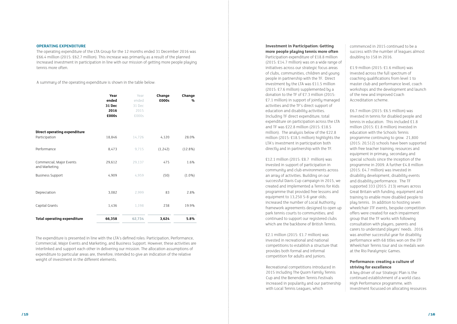#### **OPERATING EXPENDITURE**

The operating expenditure of the LTA Group for the 12 months ended 31 December 2016 was £66.4 million (2015: £62.7 million). This increase was primarily as a result of the planned increased investment in participation in line with our mission of getting more people playing tennis more often.

A summary of the operating expenditure is shown in the table below:

|                                           | Year<br>ended<br>31 Dec<br>2016<br>£000s | Year<br>ended<br>31 Dec<br>2015<br>£000s | Change<br>£000s | Change<br>% |  |
|-------------------------------------------|------------------------------------------|------------------------------------------|-----------------|-------------|--|
| Direct operating expenditure              |                                          |                                          |                 |             |  |
| Participation                             | 18,846                                   | 14,726                                   | 4,120           | 28.0%       |  |
| Performance                               | 8,473                                    | 9,715                                    | (1, 242)        | $(12.8\%)$  |  |
| Commercial, Major Events<br>and Marketing | 29,612                                   | 29,137                                   | 475             | 1.6%        |  |
| <b>Business Support</b>                   | 4,909                                    | 4,959                                    | (50)            | $(1.0\%)$   |  |
| Depreciation                              | 3,082                                    | 2,999                                    | 83              | 2.8%        |  |
| Capital Grants                            | 1,436                                    | 1,198                                    | 238             | 19.9%       |  |
| <b>Total operating expenditure</b>        | 66,358                                   | 62,734                                   | 3,624           | 5.8%        |  |

The expenditure is presented in line with the LTA's defined roles: Participation, Performance, Commercial, Major Events and Marketing, and Business Support. However, these activities are interlinked and support each other in delivering our mission. The allocation assumptions of expenditure to particular areas are, therefore, intended to give an indication of the relative weight of investment in the different elements.

#### **Investment in Participation: Getting more people playing tennis more often**

Participation expenditure of £18.8 million (2015: £14.7 million) was on a wide range of initiatives across our strategic focus areas of clubs, communities, children and young people in partnership with the TF. Direct investment by the LTA was £11.5 million (2015: £7.6 million) supplemented by a donation to the TF of £7.3 million (2015: £7.1 million) in support of jointly managed activities and the TF's direct support of education and disability activities. Including TF direct expenditure, total expenditure on participation across the LTA and TF was £22.8 million (2015: £18.5 million). The analysis below of the £22.8 million (2015: £18.5 million) highlights the LTA's investment in participation both directly and in partnership with the TF.

£12.1 million (2015: £8.7 million) was invested in support of participation in community and club environments across an array of activities. Building on our successful Davis Cup campaign in 2015, we created and implemented a Tennis for Kids programme that provided free lessons and equipment to 13,250 5-8 year olds; increased the number of Local Authority framework agreements designed to open up park tennis courts to communities; and continued to support our registered clubs which are the backbone of British Tennis.

£2.1 million (2015: £1.7 million) was invested in recreational and national competitions to establish a structure that provides both formal and informal competition for adults and juniors.

Recreational competitions introduced in 2015 including The Quorn Family Tennis Cup and the Benenden Tennis Festivals increased in popularity and our partnership with Local Tennis Leagues, which

commenced in 2015 continued to be a success with the number of leagues almost doubling to 158 in 2016.

£1.9 million (2015: £1.6 million) was invested across the full spectrum of coaching qualifications from level 1 to master club and performance level, coach workshops and the development and launch of the new and improved Coach Accreditation scheme.

£6.7 million (2015: £6.5 million) was invested in tennis for disabled people and tennis in education. This included £1.8 million (2015: £1.8 million) invested in education with the Schools Tennis programme continuing to grow. 21,800 (2015: 20,512) schools have been supported with free teacher training, resources and equipment in primary, secondary and special schools since the inception of the programme in 2009. A further £4.8 million (2015: £4.7 million) was invested in disability development, disability events and disability performance. The TF supported 333 (2015: 213) venues across Great Britain with funding, equipment and training to enable more disabled people to play tennis. In addition to hosting seven wheelchair ITF events, bespoke competition offers were created for each impairment group that the TF works with following consultation with players, parents and carers to understand players' needs. 2016 was another successful year for disability performance with 68 titles won on the ITF Wheelchair Tennis tour and six medals won at the Rio Paralympic Games.

#### **Performance: creating a culture of striving for excellence**

A key driver of our Strategic Plan is the continued establishment of a world class High Performance programme, with investment focussed on allocating resources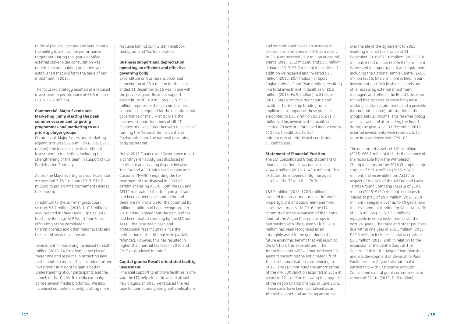to those players, coaches and venues with the ability to achieve the performance targets set. During the year a detailed external stakeholder consultation was undertaken and guiding principles were established that will form the basis of our investment in 2017.

The focussed strategy resulted in a reduced investment in performance of £8.5 million (2015: £9.7 million).

#### **Commercial, Major Events and Marketing: jump starting the peak summer season and targeting programmes and marketing to our priority player groups**

Commercial, Major Events and Marketing expenditure was £29.6 million (2015: £29.1 million), the increase due to additional investment in marketing, including the strengthening of the team in support of our Participation Strategy.

Across the Major Event grass court calendar we invested £ 15.1 million (2015: £14.2 million) to put on nine tournaments across the country.

In addition to the summer grass court season, £8.7 million (2015: £10.7 million) was invested in three Davis Cup ties (2015: four), the Barclays ATP World Tour Finals, officiating at the Wimbledon Championships and other major events and the cost of servicing sponsors.

Investment in marketing increased to £5.8 million (2015: £4.2 million) as we placed more time and resource in attracting new participants to tennis. This included further investment in insight to gain a better understanding of our participants and the launch of the 'Go Hit It' media campaign across several media platforms. We also increased our online activity, putting more

resource behind our Twitter, Facebook, Instagram and YouTube profiles.

### **Business support and depreciation: operating an efficient and effective governing body**

Expenditure on business support and depreciation of £8.0 million for the year ended 31 December 2016 was in line with the previous year. Business support expenditure of £4.9 million (2015: £5.0 million) represents the net core business support costs required for the operation and governance of the LTA and covers the business support functions of HR, IT, Finance and Legal together with the costs of running the National Tennis Centre at Roehampton and the national governing body secretariat.

In the 2015 Finance and Governance report, a contingent liability was disclosed in relation to an on-going dispute between The LTA and AELTC with HM Revenue and Customs ("HMRC") regarding the tax treatment of the disposal in 2003 of certain shares by AELTC. Both the LTA and AELTC maintained that the gain and tax had been correctly accounted for and therefore no provision for the potential £1 million liability had been recognised. In 2016, HMRC agreed that the gain and tax had been treated correctly by the LTA and AELTC, the case was closed and professional fees incurred since the notification of the tribunal were partially refunded. However, this has resulted in higher than normal tax fees in 2016 and 2015 as disclosed in note 3.

#### **Capital grants: Result orientated facility investment**

Financial support to improve facilities is one way the LTA help clubs thrive and attract new players. In 2015 we reduced the red tape for loan funding and grant applications

and we continued to see an increase in expressions of interest in 2016 as a result. In 2016 we invested £1.2 million of capital grants (2015: £1.2 million) and £2.8 million of loans (2015: £3.0 million) in facilities. In addition we received and invested £1.3 million (2015: £0.7 million) of Sport England Whole Sport Plan funding, resulting in a total investment in facilities of £5.3 million (2015: £4.9 million) to 81 clubs (2015: 68) to improve their courts and facilities. Partnership funding from applicants in support of these projects amounted to £23.2 million (2015: £11.0 million). This investment in facilities created 20 new or refurbished indoor courts, 112 new floodlit courts, 254 outdoor new or refurbished courts and 11 clubhouses.

#### **Statement of Financial Position**

The LTA Consolidated Group statement of financial position shows net assets of £144.4 million (2015: £145.4 million). This excludes the independently managed assets of the TF and the LTA Trust.

£83.2 million (2015: £78.9 million) is invested in non-current assets - intangibles, property plant and equipment and fixed asset investments. In 2016, the LTA committed to the expansion of the Centre Court at the Aegon Championships in partnership with The Queen's Club. £1.6 million has been recognised as an intangible asset in the year due to the future economic benefit that will result to the LTA from this expenditure. The intangible asset will be amortised over 20 years representing the anticipated life of the asset, amortisation commencing in 2017. The LTA continued the amortisation of the ATP 500 sanction acquired in 2014 at a cost of £2.1 million following the upgrade of the Aegon Championships in June 2015. These costs have been capitalised as an intangible asset and are being amortised

over the life of the agreement to 2022 resulting in a net book value at 31 December 2016 of £1.6 million (2015: £1.8 million). £34.3 million (2015: £34.4 million) is invested in property plant and equipment including the National Tennis Centre. £45.8 million (2015: £42.7 million) is held in our investment portfolio in shares, bonds and other assets by external investment managers and reflects the Board's decision to hold free reserves to cover long term working capital requirements and a possible (but not anticipated) interruption in the Group's annual income. This reserves policy was reviewed and affirmed by the Board during the year. As at 31 December 2016 external investments were revalued to fair value in accordance with FRS 102.

The net current assets of £61.4 million (2015: £66.7 million) include the balance of the receivable from the Wimbledon Championships for the 2016 Championship surplus of £31.4 million (2015: £24.9 million), the receivable from AELTC in respect of the sale of the All England Lawn Tennis Ground Company (AELTG) of £10.0 million (2015: £15.0 million), net loans to 'places to play' of £9.4 million (2015: £7.9 million) (repayable over up to 10 years) and the development funding for West Hants LTC of £3.6 million (2015: £3.8 million) repayable in equal instalments over the next 24 years. The trade and other payables due within one year of £16.5 million (2015: £15.0 million) includes capital accruals of £2.3 million (2015: £nil) in relation to the expansion of the Centre Court at The Queen's Club for the Aegon Championships and site development of Devonshire Park, Eastbourne for Aegon International in partnership with Eastbourne Borough Council and capital grant commitments to venues of £2.1m (2015: £1.9 million).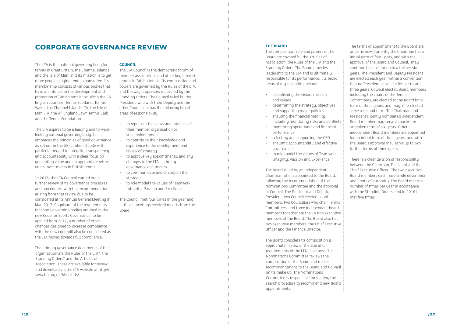### **CORPORATE GOVERNANCE REVIEW THE BOARD THE BOARD**

The LTA is the national governing body for tennis in Great Britain, the Channel Islands and the Isle of Man, and its mission is to get more people playing tennis more often. Its membership consists of various bodies that have an interest in the development and promotion of British tennis including the 36 English counties, Tennis Scotland, Tennis Wales, the Channel Islands LTA, the Isle of Man LTA, the All England Lawn Tennis Club and the Tennis Foundation.

The LTA aspires to be a leading and forwardlooking national governing body. It embraces the principles of good governance as set out in the UK combined code with particular regard to integrity, transparency and accountability with a clear focus on generating value and an appropriate return on its investments in British tennis.

In 2016, the LTA Council carried out a further review of its governance processes and procedures, with the recommendations arising from that review due to be considered at its Annual General Meeting in May 2017. Cognisant of the requirements for sports governing bodies outlined in the new Code for Sports Governance, to be applied from 2017, a number of other changes designed to increase compliance with the new code will also be considered as the LTA moves towards full compliance.

The primary governance documents of the organisation are the Rules of the LTA\*, the Standing Orders\* and the Articles of Association. These are available for review and download via the LTA website at http:// www.lta.org.uk/About-Us/.

### **COUNCIL**

The LTA Council is the democratic forum of member associations and other key interest groups in British tennis. Its composition and powers are governed by the Rules of the LTA, and the way it operates is covered by the Standing Orders. The Council is led by the President, who with their Deputy and the other Councillors has the following broad areas of responsibility:

- to represent the views and interests of their member organisation or stakeholder group
- to contribute their knowledge and experience to the development and review of strategu
- to approve key appointments, and any changes to the LTA's primary governance documents
- to communicate and champion the strategy
- to role model the values of Teamwork, Integrity, Passion and Excellence

The Council met four times in the year and at those meetings received reports from the Board.

The composition, role and powers of the Board are covered by the Articles of Association, the Rules of the LTA and the Standing Orders. The Board provides leadership to the LTA and is ultimately responsible for its performance. Its broad areas of responsibility include:

- establishing the vision, mission and values
- determining the strategy, objectives and supporting major policies
- ensuring the financial viability including monitoring risks and conflicts
- monitoring operational and financial performance
- selecting and supporting the CEO
- ensuring accountability and effective governance
- to role model the values of Teamwork, Integrity, Passion and Excellence

The Board is led by an independent Chairman who is appointed to the Board, following the recommendation of the Nominations Committee and the approval of Council. The President and Deputy President, two Council elected board members, two Councillors who chair Tennis Committees, and three independent board members together are the 10 non executive members of the Board. The Board also has two executive members, the Chief Executive Officer and the Finance Director.

The Board considers its composition is appropriate in view of the size and requirements of the LTA's business. The Nominations Committee reviews the composition of the Board and makes recommendations to the Board and Council on its make up. The Nominations Committee is responsible for leading the search procedure to recommend new Board appointments.

The terms of appointment to the Board are under review. Currently the Chairman has an initial term of four years, and with the approval of the Board and Council, may continue to serve for up to a further six years. The President and Deputy President are elected each year, within a convention that no President serves for longer than three years. Council elected Board members including the chairs of the Tennis Committees, are elected to the Board for a term of three years, and may, if re-elected, serve a second term. The Chairman and President's jointly nominated independent Board member may serve a maximum unbroken term of six years. Other independent Board members are appointed for an initial term of three years, and with the Board's approval may serve up to two further terms of three years.

There is a clear division of responsibility between the Chairman, President and the Chief Executive Officer. The two executive Board members each have a role description and limits of authority. The Board meets a number of times per year in accordance with the Standing Orders, and in 2016 it met five times.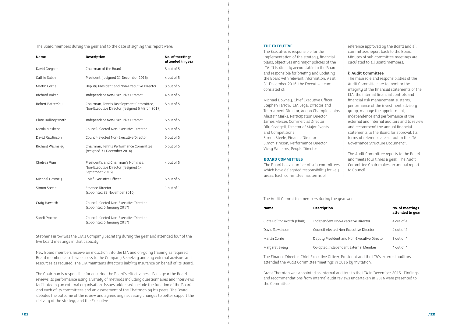The Board members during the year and to the date of signing this report were:

| <b>Name</b>         | <b>Description</b>                                                                            | No. of meetings<br>attended in year |
|---------------------|-----------------------------------------------------------------------------------------------|-------------------------------------|
| David Gregson       | Chairman of the Board                                                                         | 5 out of 5                          |
| Cathie Sabin        | President (resigned 31 December 2016)                                                         | 4 out of 5                          |
| Martin Corrie       | Deputy President and Non-Executive Director                                                   | 3 out of 5                          |
| Richard Baker       | Independent Non-Executive Director                                                            | 4 out of 5                          |
| Robert Battersby    | Chairman, Tennis Development Committee,<br>Non-Executive Director (resigned 6 March 2017)     | 5 out of 5                          |
| Clare Hollingsworth | Independent Non-Executive Director                                                            | 5 out of 5                          |
| Nicola Maskens      | Council-elected Non-Executive Director                                                        | 5 out of 5                          |
| David Rawlinson     | Council-elected Non-Executive Director                                                        | 5 out of 5                          |
| Richard Walmsley    | Chairman, Tennis Performance Committee<br>(resigned 31 December 2016)                         | 5 out of 5                          |
| Chelsea Warr        | President's and Chairman's Nominee,<br>Non-Executive Director (resigned 14<br>September 2016) | 4 out of 5                          |
| Michael Downey      | Chief Executive Officer                                                                       | 5 out of 5                          |
| Simon Steele        | Finance Director<br>(appointed 28 November 2016)                                              | 1 out of 1                          |
| Craig Haworth       | Council-elected Non-Executive Director<br>(appointed 6 January 2017)                          |                                     |
| Sandi Proctor       | Council-elected Non-Executive Director<br>(appointed 6 January 2017)                          |                                     |

Stephen Farrow was the LTA's Company Secretary during the year and attended four of the five board meetings in that capacity.

New Board members receive an induction into the LTA and on-going training as required. Board members also have access to the Company Secretary and any external advisors and resources as required. The LTA maintains director's liability insurance on behalf of its Board.

The Chairman is responsible for ensuring the Board's effectiveness. Each year the Board reviews its performance using a variety of methods including questionnaires and interviews facilitated by an external organisation. Issues addressed include the function of the Board and each of its committees and an assessment of the Chairman by his peers. The Board debates the outcome of the review and agrees any necessary changes to better support the delivery of the strategy and the Executive.

#### **THE EXECUTIVE**

The Executive is responsible for the implementation of the strategy, financial plans, objectives and major policies of the LTA. It is directly accountable to the Board, and responsible for briefing and updating the Board with relevant information. As at 31 December 2016, the Executive team consisted of:

Michael Downey, Chief Executive Officer Stephen Farrow, LTA Legal Director and Tournament Director, Aegon Championships Alastair Marks, Participation Director James Mercer, Commercial Director Olly Scadgell, Director of Major Events and Competitions Simon Steele, Finance Director Simon Timson, Performance Director Vicky Williams, People Director

#### **BOARD COMMITTEES**

The Board has a number of sub-committees which have delegated responsibility for key areas. Each committee has terms of

reference approved by the Board and all committees report back to the Board. Minutes of sub-committee meetings are circulated to all Board members.

### **i) Audit Committee**

The main role and responsibilities of the Audit Committee are to monitor the integrity of the financial statements of the LTA, the internal financial controls and financial risk management systems, performance of the investment advisory group, manage the appointment, independence and performance of the external and internal auditors and to review and recommend the annual financial statements to the Board for approval. Its terms of reference are set out in the LTA Governance Structure Document\*.

The Audit Committee reports to the Board and meets four times a year. The Audit Committee Chair makes an annual report to Council.

# **in year**

| <b>Name</b>                 | <b>Description</b>                          | No. of meetings<br>attended in year |
|-----------------------------|---------------------------------------------|-------------------------------------|
| Clare Hollingsworth (Chair) | Independent Non-Executive Director          | 4 out of 4                          |
| David Rawlinson             | Council-elected Non-Executive Director      | $4$ out of $4$                      |
| Martin Corrie               | Deputy President and Non-Executive Director | $3$ out of 4                        |
| Margaret Ewing              | Co-opted Independent External Member        | 4 out of 4                          |

The Finance Director, Chief Executive Officer, President and the LTA's external auditors attended the Audit Committee meetings in 2016 by invitation.

Grant Thornton was appointed as internal auditors to the LTA in December 2015. Findings and recommendations from internal audit reviews undertaken in 2016 were presented to the Committee.

The Audit Committee members during the year were: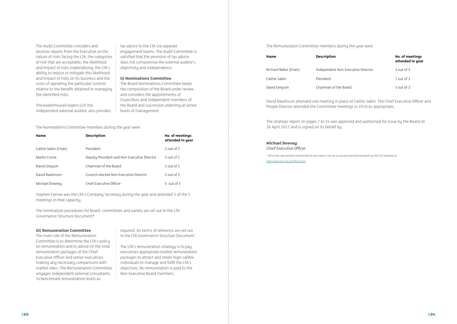The Audit Committee considers and receives reports from the Executive on the nature of risks facing the LTA, the categories of risk that are acceptable, the likelihood and impact of risks materialising, the LTA's ability to reduce or mitigate this likelihood and impact of risks on its business and the costs of operating the particular controls relative to the benefit obtained in managing the identified risks.

PricewaterhouseCoopers LLP, the independent external auditor, also provides tax advice to the LTA via separate engagement teams. The Audit Committee is satisfied that the provision of tax advice does not compromise the external auditor's objectivity and independence.

#### **ii) Nominations Committee**

The Board Nominations Committee keeps the composition of the Board under review and considers the appointments of Councillors and independent members of the Board and succession planning at senior levels of management.

| <b>Name</b>          | <b>Description</b>                          | No. of meetings<br>attended in year |
|----------------------|---------------------------------------------|-------------------------------------|
| Cathie Sabin (Chair) | President                                   | 5 out of 5                          |
| Martin Corrie        | Deputy President and Non-Executive Director | 3 out of 5                          |
| David Gregson        | Chairman of the Board                       | $5$ out of $5$                      |
| David Rawlinson      | Council-elected Non-Executive Director      | $5$ out of $5$                      |
| Michael Downey       | Chief Executive Officer                     | 5 out of 5                          |

The Nominations Committee members during the year were:

Stephen Farrow was the LTA's Company Secretary during the year and attended 5 of the 5 meetings in that capacity.

The nomination procedures for Board, committees and panels are set out in the LTA Governance Structure Document\*.

#### **iii) Remuneration Committee**

The main role of the Remuneration Committee is to determine the LTA's policy on remuneration and to advise on the total remuneration packages of the Chief Executive Officer and senior executives, making any necessary comparisons with market rates. The Remuneration Committee engages independent external consultants to benchmark remuneration levels as

required. Its terms of reference are set out in the LTA Governance Structure Document.

The LTA's remuneration strategy is to pay executives appropriate market remuneration packages to attract and retain high-calibre individuals to manage and fulfil the LTA's objectives. No remuneration is paid to the Non-Executive Board members.

|                | No. of meetings<br>attended in year |
|----------------|-------------------------------------|
| itive Director | $3$ out of $3$                      |
|                | 1 out of 3                          |
|                | $3$ out of $3$                      |

| <b>Name</b>           | <b>Description</b>                 | No. of meetings<br>attended in year |
|-----------------------|------------------------------------|-------------------------------------|
| Richard Baker (Chair) | Independent Non-Executive Director | 3 out of 3                          |
| Cathie Sabin          | <b>President</b>                   | 1 out of $3$                        |
| David Gregson         | Chairman of the Board              | $3$ out of $3$                      |

#### The Remuneration Committee members during the year were:

David Rawlinson attended one meeting in place of Cathie Sabin. The Chief Executive Officer and People Director attended the Committee meetings in 2016 as appropriate.

The strategic report on pages 7 to 24 was approved and authorised for issue by the Board on 26 April 2017 and is signed on its behalf by:

### *Michael Downey*

*Chief Executive Officer*

*\* All of the documents mentioned in this report can be accessed and downloaded via the LTA website at <http://www.lta.org.uk/About-Us/>.*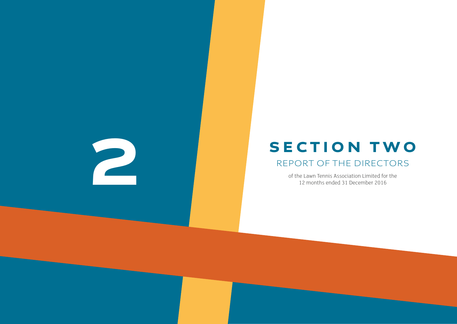/ 25 / 26



of the Lawn Tennis Association Limited for the 12 months ended 31 December 2016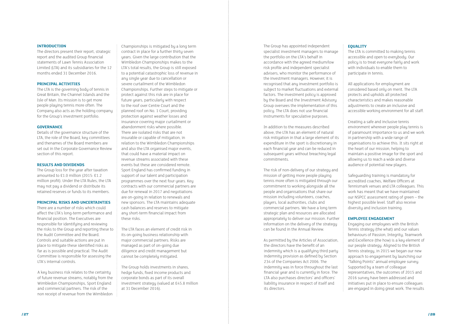#### **INTRODUCTION**

The directors present their report, strategic report and the audited Group financial statements of Lawn Tennis Association Limited (LTA) and its subsidiaries for the 12 months ended 31 December 2016.

#### **PRINCIPAL ACTIVITIES**

The LTA is the governing body of tennis in Great Britain, the Channel Islands and the Isle of Man. Its mission is to get more people playing tennis more often. The Company also acts as the holding company for the Group's investment portfolio.

#### **GOVERNANCE**

Details of the governance structure of the LTA, the role of the Board, key committees and thenames of the Board members are set out in the Corporate Governance Review section of this report.

#### **RESULTS AND DIVIDENDS**

The Group loss for the year after taxation amounted to £1.0 million (2015: £1.2 million profit). Under the LTA Rules, the LTA may not pay a dividend or distribute its retained reserves or funds to its members.

#### **PRINCIPAL RISKS AND UNCERTAINTIES**

There are a number of risks which could affect the LTA's long-term performance and financial position. The Executives are responsible for identifying and reviewing the risks to the Group and reporting these to the Audit Committee and the Board. Controls and suitable actions are put in place to mitigate these identified risks as far as is possible and practical. The Audit Committee is responsible for assessing the LTA's internal controls.

A key business risk relates to the certainty of future revenue streams, notably from the Wimbledon Championships, Sport England and commercial partners. The risk of the non receipt of revenue from the Wimbledon

Championships is mitigated by a long term contract in place for a further thirty seven years. Given the large contribution that the Wimbledon Championships makes to the LTA's total results, the Group is still exposed to a potential catastrophic loss of revenue in any single year due to cancellation or severe curtailment of the Wimbledon Championships. Further steps to mitigate or protect against this risk are in place for future years, particularly with respect to the roof over Centre Court and the planned roof on No. 1 Court, providing protection against weather losses and insurance covering major curtailment or abandonment risks where possible. There are isolated risks that are not insurable or capable of mitigation, in relation to the Wimbledon Championships and also the LTA organised major events, that could have a material impact on revenue streams associated with these events but these are considered remote. Sport England has confirmed funding in support of our talent and participation programmes over the next four years. Key contracts with our commercial partners are due for renewal in 2017 and negotiations are on-going in relation to renewals and new sponsors. The LTA maintains adequate cash balances and reserves to mitigate any short-term financial impact from these risks.

The LTA faces an element of credit risk in its on-going business relationship with major commercial partners. Risks are managed as part of on-going due diligence and credit management but cannot be completely mitigated.

The Group holds investments in shares, hedge funds, fixed income products and corporate bonds as part of its overall investment strategy (valued at £45.8 million at 31 December 2016).

The Group has appointed independent specialist investment managers to manage the portfolio on the LTA's behalf in accordance with the agreed medium/low risk profile and independent specialist advisers, who monitor the performance of the investment managers. However, it is recognised that any investment portfolio is subject to market fluctuations and external factors. The investment policy is approved by the Board and the Investment Advisory Group oversees the implementation of this policy. The LTA does not use financial instruments for speculative purposes.

In addition to the measures described above, the LTA has an element of natural risk mitigation in that a large element of its expenditure in the sport is discretionary in each financial year and can be reduced in subsequent years without breaching legal commitments.

The risk of non-delivery of our strategy and mission of getting more people playing tennis more often is mitigated through our commitment to working alongside all the people and organisations that share our mission including volunteers, coaches, players, local authorities, clubs and commercial partners. We have a long term strategic plan and resources are allocated appropriately to deliver our mission. Further information on the delivery of the strategy can be found in the Annual Review.

As permitted by the Articles of Association, the directors have the benefit of an indemnity which is a qualifying third party indemnity provision as defined by Section 234 of the Companies Act 2006. The indemnity was in force throughout the last financial year and is currently in force. The LTA also purchases directors' and officers' liability insurance in respect of itself and its directors.

#### **EQUALITY**

The LTA is committed to making tennis accessible and open to everybody. Our policu is to treat everyone fairly and work with individuals to enable them to participate in tennis.

All applications for employment are considered based only on merit. The LTA protects and upholds all protected characteristics and makes reasonable adjustments to create an inclusive and accessible working environment for all staff.

Creating a safe and inclusive tennis environment wherever people play tennis is of paramount importance to us and we work in partnership with a wide range of organisations to achieve this. It sits right at the heart of our mission, helping to maintain a positive image for the sport and allowing us to reach a wide and diverse audience of potential new players.

Safeguarding training is mandatory for accredited coaches, Welfare Officers at Tennismark venues and LTA colleagues. This work has meant that we have maintained our NSPCC assessment rating of green – the highest possible level. Staff also receive diversity and inclusion training.

#### **EMPLOYEE ENGAGEMENT**

Engaging our employees with the British Tennis strategy (the what) and our values behaviours of Passion, Integrity, Teamwork and Excellence (the how) is a key element of our people strategy. Aligned to the British Tennis strategy, in 2015 we began our new approach to engagement by launching our "Talking Points" annual employee survey. Supported by a team of colleague representatives, the outcomes of 2015 and 2016 survey have been addressed and initiatives put in place to ensure colleagues are engaged in doing great work. The results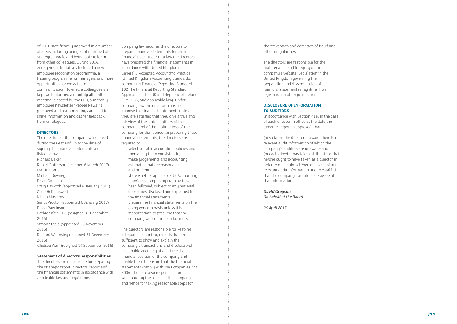

of 2016 significantly improved in a number of areas including being kept informed of strategy, morale and being able to learn from other colleagues. During 2016, engagement initiatives included a new employee recognition programme, a training programme for managers and more opportunities for cross-team communication. To ensure colleagues are kept well informed a monthly all-staff meeting is hosted by the CEO, a monthly employee newsletter "People News" is produced and team meetings are held to share information and gather feedback from employees.

#### **DIRECTORS**

The directors of the company who served during the year and up to the date of signing the financial statements are listed below: Richard Baker Robert Battersby (resigned 6 March 2017) Martin Corrie Michael Downey David Gregson Craig Haworth (appointed 6 January 2017) Clare Hollingsworth Nicola Maskens Sandi Proctor (appointed 6 January 2017) David Rawlinson Cathie Sabin OBE (resigned 31 December 2016) Simon Steele (appointed 28 November 2016) Richard Walmsley (resigned 31 December 2016) Chelsea Warr (resigned 14 September 2016)

#### **Statement of directors' responsibilities**

The directors are responsible for preparing the strategic report, directors' report and the financial statements in accordance with applicable law and regulations.

Company law requires the directors to prepare financial statements for each financial year. Under that law the directors have prepared the financial statements in accordance with United Kingdom Generally Accepted Accounting Practice (United Kingdom Accounting Standards, comprising Financial Reporting Standard 102 The Financial Reporting Standard Applicable in the UK and Republic of Ireland (FRS 102), and applicable law). Under company law the directors must not approve the financial statements unless they are satisfied that they give a true and fair view of the state of affairs of the company and of the profit or loss of the company for that period. In preparing these financial statements, the directors are required to:

- select suitable accounting policies and then apply them consistently;
- make judgements and accounting estimates that are reasonable and prudent;
- state whether applicable UK Accounting Standards comprising FRS 102 have been followed, subject to any material departures disclosed and explained in the financial statements;
- prepare the financial statements on the going concern basis unless it is inappropriate to presume that the company will continue in business.

The directors are responsible for keeping adequate accounting records that are sufficient to show and explain the company's transactions and disclose with reasonable accuracy at any time the financial position of the company and enable them to ensure that the financial statements comply with the Companies Act 2006. They are also responsible for safeguarding the assets of the company and hence for taking reasonable steps for

the prevention and detection of fraud and other irregularities.

The directors are responsible for the maintenance and integrity of the company's website. Legislation in the United Kingdom governing the preparation and dissemination of financial statements may differ from legislation in other jurisdictions.

#### **DISCLOSURE OF INFORMATION TO AUDITORS**

In accordance with Section 418, in the case of each director in office at the date the directors' report is approved, that:

(a) so far as the director is aware, there is no relevant audit information of which the company's auditors are unaware; and (b) each director has taken all the steps that he/she ought to have taken as a director in order to make himself/herself aware of any relevant audit information and to establish that the company's auditors are aware of that information.

#### *David Gregson*

*On behalf of the Board*

*26 April 2017*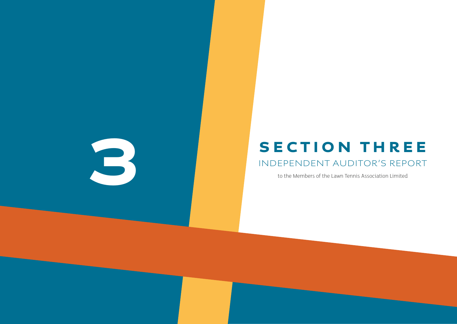/ 31 / 32

# SECTION THREE<br>INDEPENDENT AUDITOR'S REPORT<br>to the Members of the Lawn Tennis Association Limited INDEPENDENT AUDITOR'S REPORT

to the Members of the Lawn Tennis Association Limited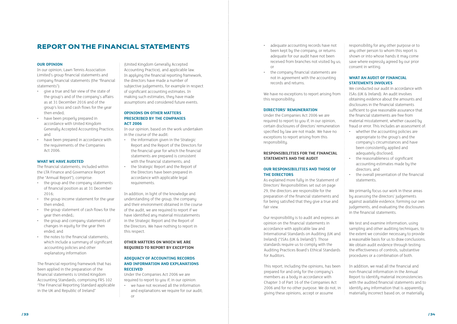#### **OUR OPINION**

In our opinion, Lawn Tennis Association Limited's group financial statements and company financial statements (the "financial statements"):

- give a true and fair view of the state of the group's and of the company's affairs as at 31 December 2016 and of the group's loss and cash flows for the year then ended;
- have been properly prepared in accordance with United Kingdom Generally Accepted Accounting Practice; and
- have been prepared in accordance with the requirements of the Companies Act 2006.

#### **WHAT WE HAVE AUDITED**

The financial statements, included within the LTA Finance and Governance Report (the "Annual Report"), comprise:

- the group and the company statements of financial position as at 31 December 2016;
- the group income statement for the year then ended;
- the group statement of cash flows for the uear then ended::
- the group and company statements of changes in equity for the year then ended; and
- the notes to the financial statements, which include a summary of significant accounting policies and other explanatory information

The financial reporting framework that has been applied in the preparation of the financial statements is United Kingdom Accounting Standards, comprising FRS 102 "The Financial Reporting Standard applicable in the UK and Republic of Ireland"

we have not received all the information and explanations we require for our audit; or

(United Kingdom Generally Accepted Accounting Practice), and applicable law. In applying the financial reporting framework, the directors have made a number of subjective judgements, for example in respect of significant accounting estimates. In making such estimates, they have made assumptions and considered future events.

#### **OPINIONS ON OTHER MATTERS PRESCRIBED BY THE COMPANIES ACT 2006**

In our opinion, based on the work undertaken in the course of the audit:

- the information given in the Strategic Report and the Report of the Directors for the financial year for which the financial statements are prepared is consistent with the financial statements; and
- the Strategic Report and the Report of the Directors have been prepared in accordance with applicable legal requirements.

In addition, in light of the knowledge and understanding of the group, the company and their environment obtained in the course of the audit, we are required to report if we have identified any material misstatements in the Strategic Report and the Report of the Directors. We have nothing to report in this respect.

#### **OTHER MATTERS ON WHICH WE ARE REQUIRED TO REPORT BY EXCEPTION**

#### **ADEQUACY OF ACCOUNTING RECORDS AND INFORMATION AND EXPLANATIONS RECEIVED**

Under the Companies Act 2006 we are required to report to you if, in our opinion:

- adequate accounting records have not been kept by the company, or returns adequate for our audit have not been received from branches not visited by us; or
- the company financial statements are not in agreement with the accounting records and returns.

We have no exceptions to report arising from this responsibility.

#### **DIRECTORS' REMUNERATION**

Under the Companies Act 2006 we are required to report to you if, in our opinion, certain disclosures of directors' remuneration specified by law are not made. We have no exceptions to report arising from this responsibility.

#### **RESPONSIBILITIES FOR THE FINANCIAL STATEMENTS AND THE AUDIT**

#### **OUR RESPONSIBILITIES AND THOSE OF THE DIRECTORS**

As explained more fully in the Statement of Directors' Responsibilities set out on page 29, the directors are responsible for the preparation of the financial statements and for being satisfied that they give a true and fair view.

Our responsibility is to audit and express an opinion on the financial statements in accordance with applicable law and International Standards on Auditing (UK and Ireland) ("ISAs (UK & Ireland)"). Those standards require us to comply with the Auditing Practices Board's Ethical Standards for Auditors.

This report, including the opinions, has been prepared for and only for the company's members as a body in accordance with Chapter 3 of Part 16 of the Companies Act 2006 and for no other purpose. We do not, in giving these opinions, accept or assume

responsibility for any other purpose or to any other person to whom this report is shown or into whose hands it may come save where expressly agreed by our prior consent in writing.

### **WHAT AN AUDIT OF FINANCIAL STATEMENTS INVOLVES**

We conducted our audit in accordance with ISAs (UK & Ireland). An audit involves obtaining evidence about the amounts and disclosures in the financial statements sufficient to give reasonable assurance that the financial statements are free from material misstatement, whether caused by fraud or error. This includes an assessment of:

- whether the accounting policies are appropriate to the group's and the company's circumstances and have been consistently applied and adequately disclosed;
- the reasonableness of significant accounting estimates made by the directors; and
- the overall presentation of the financial statements.

We primarily focus our work in these areas by assessing the directors' judgements against available evidence, forming our own judgements, and evaluating the disclosures in the financial statements.

We test and examine information, using sampling and other auditing techniques, to the extent we consider necessary to provide a reasonable basis for us to draw conclusions. We obtain audit evidence through testing the effectiveness of controls, substantive procedures or a combination of both.

In addition, we read all the financial and non-financial information in the Annual Report to identify material inconsistencies with the audited financial statements and to identify any information that is apparently materially incorrect based on, or materially

### REPORT ON THE FINANCIAL STATEMENTS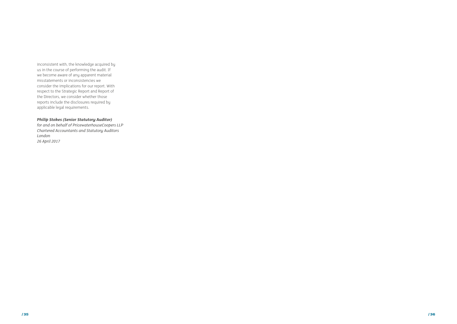

inconsistent with, the knowledge acquired by us in the course of performing the audit. If we become aware of any apparent material misstatements or inconsistencies we consider the implications for our report. With respect to the Strategic Report and Report of the Directors, we consider whether those reports include the disclosures required by applicable legal requirements.

### *Philip Stokes (Senior Statutory Auditor)*

*for and on behalf of PricewaterhouseCoopers LLP Chartered Accountants and Statutory Auditors London 26 April 2017*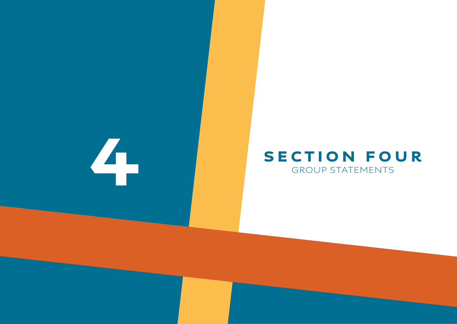/ 37 / 38

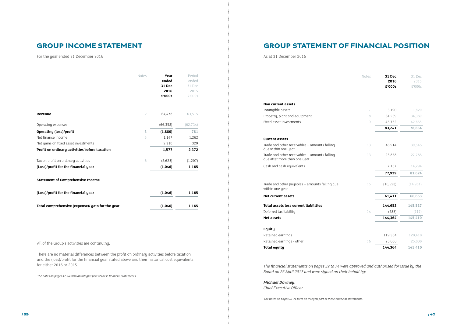For the year ended 31 December 2016  $\frac{1}{2}$  As at 31 December 2016

| Total comprehensive (expense)/ gain for the year |                | (1,046)         | 1,165           |
|--------------------------------------------------|----------------|-----------------|-----------------|
| (Loss)/profit for the financial year             |                | (1,046)         | 1,165           |
| <b>Statement of Comprehensive Income</b>         |                |                 |                 |
| (Loss)/profit for the financial year             |                | (1,046)         | 1,165           |
| Tax on profit on ordinary activities             | 6              | (2,623)         | (1, 207)        |
| Profit on ordinary activities before taxation    |                | 1,577           | 2,372           |
| Net gains on fixed asset investments             |                | 2,310           | 329             |
| Net finance income                               | 5              | 1,147           | 1,262           |
| <b>Operating (loss)/profit</b>                   | 3              | (1,880)         | 781             |
| Operating expenses                               |                | (66, 358)       | (62, 734)       |
| Revenue                                          | $\overline{c}$ | 64,478          | 63,515          |
|                                                  |                | 2016<br>£'000s  | 2015<br>£'000s  |
|                                                  |                | ended<br>31 Dec | ended<br>31 Dec |

All of the Group's activities are continuing.

There are no material differences between the profit on ordinary activities before taxation and the (loss)/profit for the financial year stated above and their historical cost equivalents for either 2016 or 2015.

*The notes on pages 47-74 form an integral part of these financial statements.*

Retained earnings Retained earnings - other **Total equity 144,364 145,410**

#### **Non current assets**

Intangible assets Property, plant and equipment Fixed asset investments

#### **Current assets**

Trade and other receivables – amounts falling due within one year

| Notes | 31 Dec<br>2016<br>£'000s | 31 Dec<br>2015<br>£'000s |
|-------|--------------------------|--------------------------|
|       |                          |                          |
| 7     | 3,190                    | 1,820                    |
| 8     | 34,289                   | 34,389                   |
| 9     | 45,762                   | 42,655                   |
|       | 83,241                   | 78,864                   |
|       |                          |                          |
| 13    | 46,914                   | 39,545                   |
| 13    | 23,858                   | 27,785                   |
|       | 7,167                    | 14,294                   |
|       | 77,939                   | 81,624                   |
| 15    | (16, 528)                | (14, 961)                |
|       | 61,411                   | 66,663                   |
|       | 144,652                  | 145,527                  |
| 14    | (288)                    | (117)                    |
|       | 144,364                  | 145,410                  |
|       |                          |                          |
|       | 119,364                  | 120,410                  |
| 16    | 25,000                   | 25,000                   |
|       | 144,364                  | 145,410                  |

Trade and other receivables – amounts falling due after more than one year

Cash and cash equivalents

Trade and other payables – amounts falling due within one year

**Net current assets** 

**Total assets less current liabilities 144,652 145,527**

Deferred tax liability **Net assets** 

### **Equity**

*The financial statements on pages 39 to 74 were approved and authorised for issue by the Board on 26 April 2017 and were signed on their behalf by:*

*Michael Downey, Chief Executive Officer*

*The notes on pages 47-74 form an integral part of these financial statements.*

### GROUP INCOME STATEMENT GROUP STATEMENT OF FINANCIAL POSITION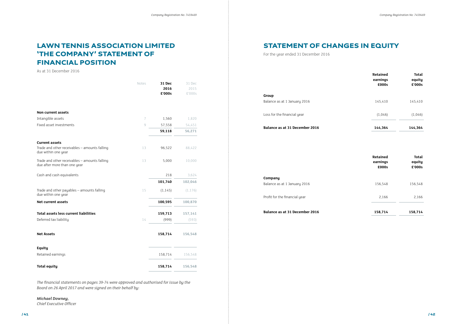|                                | Retained<br>earnings<br>£000s | Total<br>equity<br>£'000s |
|--------------------------------|-------------------------------|---------------------------|
| Group                          |                               |                           |
| Balance as at 1 January 2016   | 145,410                       | 145,410                   |
| Loss for the financial year    | (1,046)                       | (1,046)                   |
| Balance as at 31 December 2016 | 144.364                       | 144.364                   |

| Group                        |  |
|------------------------------|--|
| Balance as at 1 Januaru 2016 |  |

#### **Balance as at 31 December 2016**

**Company** Balance as at 1 January 2016

Profit for the financial year

**Balance as at 31 December 2016 158,814 158,814 158,814 158,914 158,914 158,914 158,914 158,914 158,914 158,914 158,914 158,914 158,914 158,914 158,914 158,914 158,914 158,914 158,914** 

| Retained<br>earnings<br>£000s | Total<br>equity<br>£'000s |
|-------------------------------|---------------------------|
| 156,548                       | 156,548                   |
| 2,166                         | 2,166                     |
| 158,714                       | 158,714                   |

|                                                                               | Notes | 31 Dec   | 31 Dec   |
|-------------------------------------------------------------------------------|-------|----------|----------|
|                                                                               |       | 2016     | 2015     |
|                                                                               |       | £'000s   | £'000s   |
| <b>Non current assets</b>                                                     |       |          |          |
| Intangible assets                                                             | 7     | 1,560    | 1,820    |
| Fixed asset investments                                                       | 9     | 57,558   | 54,451   |
|                                                                               |       | 59,118   | 56,271   |
| <b>Current assets</b>                                                         |       |          |          |
| Trade and other receivables - amounts falling<br>due within one year          | 13    | 96,522   | 88,422   |
| Trade and other receivables - amounts falling<br>due after more than one year | 13    | 5,000    | 10,000   |
| Cash and cash equivalents                                                     |       | 218      | 3,624    |
|                                                                               |       | 101,740  | 102,046  |
| Trade and other payables - amounts falling<br>due within one year             | 15    | (1, 145) | (1, 176) |
| <b>Net current assets</b>                                                     |       | 100,595  | 100,870  |
| <b>Total assets less current liabilities</b>                                  |       | 159,713  | 157,141  |
| Deferred tax liability                                                        | 14    | (999)    | (593)    |
| <b>Net Assets</b>                                                             |       | 158,714  | 156,548  |
| <b>Equity</b>                                                                 |       |          |          |
| Retained earnings                                                             |       | 158,714  | 156,548  |
| <b>Total equity</b>                                                           |       | 158,714  | 156,548  |

*The financial statements on pages 39-74 were approved and authorised for issue by the Board on 26 April 2017 and were signed on their behalf by:*

#### *Michael Downey,*

*Chief Executive Officer*

As at 31 December 2016

For the year ended 31 December 2016

# LAWN TENNIS ASSOCIATION LIMITED 'THE COMPANY' STATEMENT OF FINANCIAL POSITION

STATEMENT OF CHANGES IN EQUITY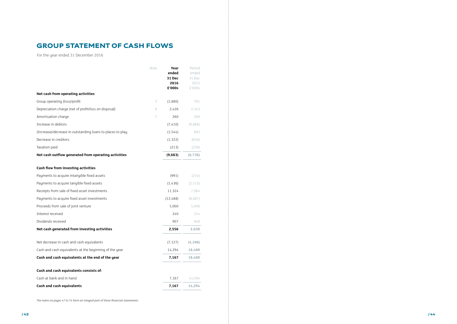/ 43 / 44

|                                                            | Note | Year<br>ended<br>31 Dec<br>2016<br>£'000s | Period<br>ended<br>31 Dec<br>2015<br>£'000s |
|------------------------------------------------------------|------|-------------------------------------------|---------------------------------------------|
| Net cash from operating activities                         |      |                                           |                                             |
| Group operating (loss)/profit                              | 3    | (1,880)                                   | 781                                         |
| Depreciation charge (net of profit/loss on disposal)       | 8    | 2,426                                     | 2,343                                       |
| Amortisation charge                                        | 7    | 260                                       | 260                                         |
| Increase in debtors                                        |      | (7, 410)                                  | (9,888)                                     |
| (Increase)/decrease in outstanding loans to places to play |      | (1, 544)                                  | 683                                         |
| Decrease in creditors                                      |      | (1, 322)                                  | (656)                                       |
| Taxation paid                                              |      | (213)                                     | (259)                                       |
| Net cash outflow generated from operating activities       |      | (9,683)                                   | (6, 736)                                    |
| <b>Cash flow from investing activities</b>                 |      |                                           |                                             |
| Payments to acquire intangible fixed assets                |      | (991)                                     | (214)                                       |
| Payments to acquire tangible fixed assets                  |      | (1,436)                                   | (2, 515)                                    |
| Receipts from sale of fixed asset investments              |      | 11,324                                    | 7,984                                       |
| Payments to acquire fixed asset investments                |      | (12, 488)                                 | (8,887)                                     |
| Proceeds from sale of joint venture                        |      | 5,000                                     | 5,000                                       |
| Interest received                                          |      | 240                                       | 314                                         |
| Dividends received                                         |      | 907                                       | 948                                         |
| Net cash generated from investing activities               |      | 2,556                                     | 2,630                                       |
| Net decrease in cash and cash equivalents                  |      | (7, 127)                                  | (4, 106)                                    |
| Cash and cash equivalents at the beginning of the year     |      | 14,294                                    | 18,400                                      |
| Cash and cash equivalents at the end of the year           |      | 7,167                                     | 18,400                                      |
| Cash and cash equivalents consists of:                     |      |                                           |                                             |
| Cash at bank and in hand                                   |      | 7,167                                     | 14,294                                      |
| <b>Cash and cash equivalents</b>                           |      | 7,167                                     | 14,294                                      |

# GROUP STATEMENT OF CASH FLOWS

*The notes on pages 47 to 74 form an integral part of these financial statements.*

For the year ended 31 December 2016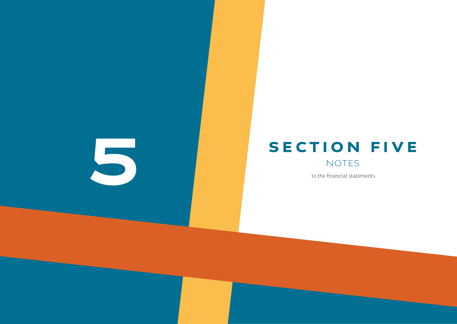/ 45 / 46



to the financial statements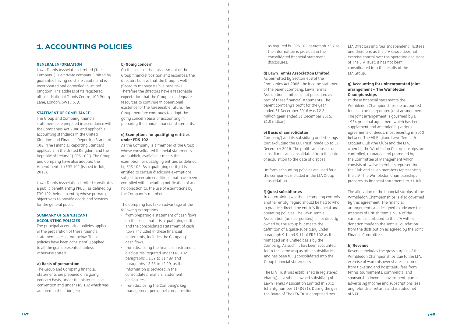# **1. ACCOUNTING POLICIES as required by FRS 102 paragraph 33.7 as**

#### **GENERAL INFORMATION**

Lawn Tennis Association Limited ('the Company') is a private company limited by guarantee having no share capital and is incorporated and domiciled in United Kingdom. The address of its registered office is National Tennis Centre, 100 Priory Lane, London, SW15 5JQ.

#### **STATEMENT OF COMPLIANCE**

The Group and Company financial statements are prepared in accordance with the Companies Act 2006 and applicable accounting standards in the United Kingdom and Financial Reporting Standard 102, "The Financial Reporting Standard applicable in the United Kingdom and the Republic of Ireland" ("FRS 102"). The Group and Company have also adopted the Amendments to FRS 102 (issued in July 2015).

Lawn Tennis Association Limited constitutes a public benefit entity ('PBE') as defined by FRS 102. being an entity whose primary objective is to provide goods and services for the general public.

#### **SUMMARY OF SIGNIFICANT ACCOUNTING POLICIES**

The principal accounting policies applied in the preparation of these financial statements are set out below. These policies have been consistently applied to all the years presented, unless otherwise stated.

#### **a) Basis of preparation**

The Group and Company financial statements are prepared on a going concern basis, under the historical cost convention and under FRS 102 which was adopted in the prior year.

#### **b) Going concern**

On the basis of their assessment of the Group financial position and resources, the directors believe that the Group is well placed to manage its business risks. Therefore the directors have a reasonable expectation that the Group has adequate resources to continue in operational existence for the foreseeable future. The Group therefore continues to adopt the going concern basis of accounting in preparing the annual financial statements.

#### **c) Exemptions for qualifying entities under FRS 102**

As the Company is a member of the Group whose consolidated financial statements are publicly available it meets the exemption for qualifying entities as defined bu FRS 102. As a qualifuing entitu it is entitled to certain disclosure exemptions, subject to certain conditions that have been complied with, including notification of and no objection to, the use of exemptions by the Company's members.

The Company has taken advantage of the following exemptions:

- from preparing a statement of cash flows, on the basis that it is a qualifying entity and the consolidated statement of cash flows, included in these financial statements, includes the Company's cash flows;
- from disclosing the financial instrument disclosures, required under FRS 102 paragraphs 11.39 to 11.48A and paragraphs 12.26 to 12.29, as the information is provided in the consolidated financial statement disclosures;
- from disclosing the Company's key management personnel compensation,

the information is provided in the consolidated financial statement disclosures.

#### **d) Lawn Tennis Association Limited**

As permitted by Section 408 of the Companies Act 2006, the income statement of the parent company, Lawn Tennis Association Limited, is not presented as part of these financial statements. The parent company's profit for the year ended 31 December 2016 was £2.2 million (year ended 31 December 2015: £1.0 million).

#### **e) Basis of consolidation**

Company') and its subsidiary undertakings (but excluding the LTA Trust) made up to 31 December 2016. The profits and losses of subsidiaries are consolidated from the date of acquisition to the date of disposal.

Uniform accounting policies are used for all the companies included in the LTA Group consolidation.

#### **f) Quasi subsidiaries**

In determining whether a company controls another entity, regard should be had to who in practice directs the entity's financial and operating policies. The Lawn Tennis Association (unincorporated) is not directly owned by the Group but meets the definition of a quasi-subsidiary under paragraph 9.1 and 9.11 of FRS 102 as it is managed on a unified basis by the Company. As such, it has been accounted for in the same way as other subsidiaries and has been fully consolidated into the Group financial statements.

The LTA Trust was established (a registered charity) as a wholly owned subsidiary of Lawn Tennis Association Limited in 2012 (charity number 1148421). During the year, the Board of The LTA Trust comprised two

LTA Directors and four Independent Trustees and therefore, as the LTA Group does not exercise control over the operating decisions of The LTA Trust, it has not been consolidated into the results of the LTA Group.

### **g) Accounting for unincorporated joint arrangement – The Wimbledon Championships**

In these financial statements the Wimbledon Championships are accounted for as an unincorporated joint arrangement. The joint arrangement is governed by a 1934 principal agreement which has been supplement and amended by various agreements or deeds, most recently in 2013 between The All England Lawn Tennis & Croquet Club (the Club) and the LTA, whereby the Wimbledon Championships are controlled, managed and promoted by the Committee of Management which consists of twelve members representing the Club and seven members representing the LTA. The Wimbledon Championships prepares its financial statements to 31 July.

The allocation of the financial surplus of the Wimbledon Championships is also governed by this agreement. The financial arrangements are designed to advance the interests of British tennis. 90% of the surplus is distributed to the LTA with a donation made to the Tennis Foundation from the distribution as agreed by the Joint Finance Committee.

### **h) Revenue**

Revenue includes the gross surplus of the Wimbledon Championships due to the LTA, exercise of warrants over shares, income from ticketing and hospitality fees from tennis tournaments, commercial and sponsorship income, government grants, advertising income and subscriptions less any refunds or returns and is stated net of VAT.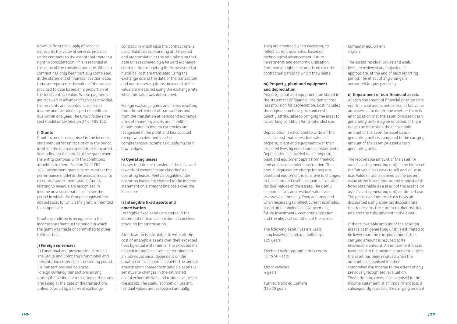Revenue from the supply of services represents the value of services provided under contracts to the extent that there is a right to consideration. This is recorded at the value of the consideration due. Where a contract has only been partially completed at the statement of financial position date, turnover represents the value of the service provided to date based on a proportion of the total contract value. Where payments are received in advance of services provided, the amounts are recorded as deferred income and included as part of creditors due within one year. The Group follows the cost model under Section 24 of FRS 102.

#### **i) Grants**

Grant income is recognised in the income statement either on receipt or in the period in which the related expenditure is incurred, depending on the nature of the grant when the entity complies with the conditions attaching to them. Section 24 of FRS 102,'Government grants' permits either the performance model or the accrual model to recognise government grants. Grants relating to revenue are recognised in income on a systematic basis over the period in which the Group recognised the related costs for which the grant is intended to compensate.

Grant expenditure is recognised in the income statement in the period in which the grant was made or committed to other third parties.

#### **j) Foreign currencies**

(i) Functional and presentation currency The Group and Company's functional and presentation currency is the sterling pound. (ii) Transactions and balances Foreign currency transactions arising during the period are translated at the rates prevailing at the date of the transactions unless covered by a forward exchange

contract, in which case the contract rate is used. Balances outstanding at the period end are translated at the rate ruling on that date unless covered by a forward exchange contract. Non-monetary items measured at historical cost are translated using the exchange rate at the date of the transaction and non-monetary items measured at fair value are measured using the exchange rate when fair value was determined.

Foreign exchange gains and losses resulting from the settlement of transactions and from the translation at periodend exchange rates of monetary assets and liabilities denominated in foreign currencies are recognised in the profit and loss account except when deferred in other comprehensive income as qualifying cash flow hedges.

> The following asset lives are used: Long leasehold land and buildings 125 years

Freehold buildings and tennis courts 10 to 50 years

Motor vehicles 4 years

Furniture and equipment 3 to 20 years

Computer equipment 4 years

#### **k) Operating leases**

Leases that do not transfer all the risks and rewards of ownership are classified as operating leases. Rentals payable under operating leases are charged to the income statement on a straight line basis over the lease term.

### **l) Intangible fixed assets and amortisation**

Intangible fixed assets are stated in the statement of financial position at cost less provision for amortisation.

Amortisation is calculated to write off the cost of intangible assets over their expected lives by equal instalments. The expected life of each intangible asset is determined on an individual basis, dependent on the duration of its economic benefit. The annual amortisation charge for intangible assets is sensitive to changes in the estimated useful economic lives and residual values of the assets. The useful economic lives and residual values are reassessed annually.

They are amended when necessary to reflect current estimates, based on technological advancement, future investments and economic utilisation. Commercial rights are amortised over the contractual period to which they relate.

### **m) Property, plant and equipment and depreciation**

Property, plant and equipment are stated in the statement of financial position at cost less provision for depreciation. Cost includes the original purchase price and costs directly attributable to bringing the asset to its working condition for its intended use.

Depreciation is calculated to write off the cost, less estimated residual value, of property, plant and equipment over their expected lives by equal annual instalments. Depreciation is provided on all property, plant and equipment apart from freehold land and assets under construction. The annual depreciation charge for property, plant and equipment is sensitive to changes in the estimated useful economic lives and residual values of the assets. The useful economic lives and residual values are re-assessed annually. They are amended when necessary to reflect current estimates, based on technological advancement, future investments, economic utilisation and the physical condition of the assets.

The assets' residual values and useful lives are reviewed and adjusted, if appropriate, at the end of each reporting period. The effect of any change is accounted for prospectively.

**n) Impairment of non-financial assets**

At each statement of financial position date non-financial assets not carried at fair value are assessed to determine whether there is an indication that the asset (or asset's cash generating unit) may be impaired. If there is such an indication the recoverable amount of the asset (or asset's cash generating unit) is compared to the carrying amount of the asset (or asset's cash generating unit).

The recoverable amount of the asset (or asset's cash generating unit) is the higher of the fair value less costs to sell and value in use. Value in use is defined as the present value of the future pre-tax and interest cash flows obtainable as a result of the asset's (or asset's cash generating unit) continued use. The pre-tax and interest cash flows are discounted using a pre-tax discount rate that represents the current market risk free rate and the risks inherent in the asset.

If the recoverable amount of the asset (or asset's cash generating unit) is estimated to be lower than the carrying amount, the carrying amount is reduced to its recoverable amount. An impairment loss is recognised in the income statement, unless the asset has been revalued when the amount is recognised in other comprehensive income to the extent of any previously recognised revaluation. Thereafter any excess is recognised in the income statement. If an impairment loss is subsequently reversed, the carrying amount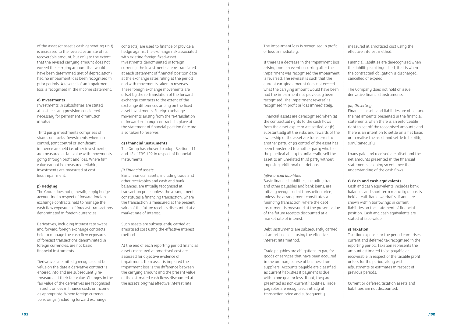of the asset (or asset's cash generating unit) is increased to the revised estimate of its recoverable amount, but only to the extent that the revised carrying amount does not exceed the carrying amount that would have been determined (net of depreciation) had no impairment loss been recognised in prior periods. A reversal of an impairment loss is recognised in the income statement.

#### **o) Investments**

Investments in subsidiaries are stated at cost less any provision considered necessary for permanent diminution in value.

Third party investments comprises of shares or stocks. Investments where no control, joint control or significant influence are held i.e. other investments, are measured at fair value with movements going through profit and loss. Where fair value cannot be measured reliably, investments are measured at cost less impairment.

#### **p) Hedging**

The Group does not generally apply hedge accounting in respect of forward foreign exchange contracts held to manage the cash flow exposures of forecast transactions denominated in foreign currencies.

Derivatives, including interest rate swaps and forward foreign exchange contracts held to manage the cash flow exposures of forecast transactions denominated in foreign currencies, are not basic financial instruments.

Derivatives are initially recognised at fair value on the date a derivative contract is entered into and are subsequently remeasured at their fair value. Changes in the fair value of the derivatives are recognised in profit or loss in finance costs or income as appropriate. Where foreign currency borrowings (including forward exchange

contracts) are used to finance or provide a hedge against the exchange risk associated with existing foreign fixed-asset investments denominated in foreign currency, the investments are re-translated at each statement of financial position date at the exchange rates ruling at the period end with movements taken to reserves. These foreign exchange movements are offset by the re-translation of the forward exchange contracts to the extent of the exchange differences arising on the fixedasset investments. Foreign exchange movements arising from the re-translation of forward exchange contracts in place at the statement of financial position date are also taken to reserves.

#### **q) Financial instruments**

The Group has chosen to adopt Sections 11 and 12 of FRS 102 in respect of financial instruments.

#### *(i) Financial assets*

Basic financial assets, including trade and other receivables and cash and bank balances, are initially recognised at transaction price, unless the arrangement constitutes a financing transaction, where the transaction is measured at the present value of the future receipts discounted at a market rate of interest.

Such assets are subsequently carried at amortised cost using the effective interest method.

At the end of each reporting period financial assets measured at amortised cost are assessed for objective evidence of impairment. If an asset is impaired the impairment loss is the difference between the carrying amount and the present value of the estimated cash flows discounted at the asset's original effective interest rate.

The impairment loss is recognised in profit or loss immediately.

If there is a decrease in the impairment loss arising from an event occurring after the impairment was recognised the impairment is reversed. The reversal is such that the current carrying amount does not exceed what the carrying amount would have been had the impairment not previously been recognised. The impairment reversal is recognised in profit or loss immediately.

Financial assets are derecognised when (a) the contractual rights to the cash flows from the asset expire or are settled, or (b) substantially all the risks and rewards of the ownership of the asset are transferred to another party or (c) control of the asset has been transferred to another party who has the practical ability to unilaterally sell the asset to an unrelated third party without imposing additional restrictions.

#### *(ii)Financial liabilities*

Basic financial liabilities, including trade and other payables and bank loans, are initially recognised at transaction price, unless the arrangement constitutes a financing transaction, where the debt instrument is measured at the present value of the future receipts discounted at a market rate of interest.

Debt instruments are subsequently carried at amortised cost, using the effective interest rate method.

Trade payables are obligations to pay for goods or services that have been acquired in the ordinary course of business from suppliers. Accounts payable are classified as current liabilities if payment is due within one year or less. If not, they are presented as non-current liabilities. Trade payables are recognised initially at transaction price and subsequently

measured at amortised cost using the effective interest method.

Financial liabilities are derecognised when the liability is extinguished, that is when the contractual obligation is discharged, cancelled or expired.

The Company does not hold or issue derivative financial instruments.

### *(iii) Offsetting*

Financial assets and liabilities are offset and the net amounts presented in the financial statements when there is an enforceable right to set off the recognised amounts and there is an intention to settle on a net basis or to realise the asset and settle to liability simultaneously.

Loans paid and received are offset and the net amounts presented in the financial statements as doing so enhance the understanding of the cash flows.

#### **r) Cash and cash equivalents**

Cash and cash equivalents includes bank balances and short term maturity deposits held at call. Bank overdrafts, if any, are shown within borrowings in current liabilities on the statement of financial position. Cash and cash equivalents are stated at face value.

#### **s) Taxation**

Taxation expense for the period comprises current and deferred tax recognised in the reporting period. Taxation represents the amount estimated to be payable or recoverable in respect of the taxable profit or loss for the period, along with adjustments to estimates in respect of previous periods.

Current or deferred taxation assets and liabilities are not discounted.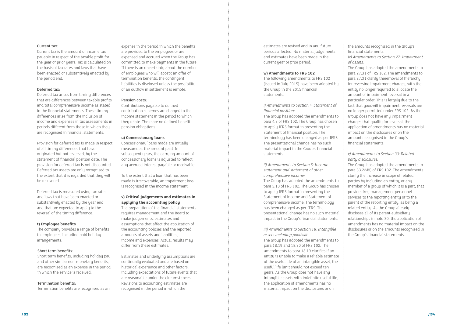#### Current tax:

Current tax is the amount of income tax payable in respect of the taxable profit for the year or prior years. Tax is calculated on the basis of tax rates and laws that have been enacted or substantively enacted by the period end.

#### Deferred tax:

Deferred tax arises from timing differences that are differences between taxable profits and total comprehensive income as stated in the financial statements. These timing differences arise from the inclusion of income and expenses in tax assessments in periods different from those in which they are recognised in financial statements.

Provision for deferred tax is made in respect of all timing differences that have originated but not reversed, by the statement of financial position date. The provision for deferred tax is not discounted. Deferred tax assets are only recognised to the extent that it is regarded that they will be recovered.

Deferred tax is measured using tax rates and laws that have been enacted or substantively enacted by the year end and that are expected to apply to the reversal of the timing difference.

#### **t) Employee benefits**

The company provides a range of benefits to employees, including paid holiday arrangements.

#### Short term benefits:

Short term benefits, including holiday pay and other similar non-monetary benefits, are recognised as an expense in the period in which the service is received.

#### Termination benefits:

Termination benefits are recognised as an

expense in the period in which the benefits are provided to the employees or are expensed and accrued when the Group has committed to make payments in the future. If there is an uncertainty about the number of employees who will accept an offer of termination benefits, the contingent liabilities is disclosed unless the possibility of an outflow in settlement is remote.

#### Pension costs:

Contributions payable to defined contribution schemes are charged to the income statement in the period to which they relate. There are no defined benefit pension obligations.

#### **u) Concessionary loans**

Concessionary loans made are initially measured at the amount paid. In subsequent years, the carrying amount of concessionary loans is adjusted to reflect any accrued interest payable or receivable.

To the extent that a loan that has been made is irrecoverable, an impairment loss is recognised in the income statement.

### **v) Critical judgements and estimates in applying the accounting policy**

The preparation of the financial statements requires management and the Board to make judgements, estimates and assumptions that affect the application of the accounting policies and the reported amounts of assets and liabilities, income and expenses. Actual results may differ from these estimates.

Estimates and underlying assumptions are continually evaluated and are based on historical experience and other factors, including expectations of future events that are reasonable under the circumstances. Revisions to accounting estimates are recognised in the period in which the

estimates are revised and in any future periods affected. No material judgements and estimates have been made in the current year or prior period.

#### **w) Amendments to FRS 102**

The following amendments to FRS 102 (issued in July 2015) have been adopted by the Group in the 2015 financial statements.

*i) Amendments to Section 4: Statement of financial position:*

The Group has adopted the amendments to para 4.2 of FRS 102. The Group has chosen to apply IFRS format in presenting the Statement of financial position. The terminology has been changed as per IFRS. The presentational change has no such material impact in the Group's financial statements.

*ii) Amendments to Section 5: Income statement and statement of other comprehensive income:* The Group has adopted the amendments to para 5.10 of FRS 102. The Group has chosen to apply IFRS format in presenting the Statement of income and Statement of comprehensive income. The terminology has been changed as per IFRS. The presentational change has no such material impact in the Group's financial statements.

*iii) Amendments to Section 18: Intangible assets including goodwill:* 

The Group has adopted the amendments to para 18.19 and 18.20 of FRS 102. The amendments to para 18.19 clarifies if an entity is unable to make a reliable estimate of the useful life of an intangible asset, the useful life limit should not exceed ten years. As the Group does not have any intangible assets with indefinite useful life, the application of amendments has no material impact on the disclosures or on

the amounts recognised in the Group's financial statements.

*iv) Amendments to Section 27: Impairment of assets:* 

The Group has adopted the amendments to para 27.31 of FRS 102. The amendments to para 27.31 clarifu theremoval of hierarchy for reversing impairment charges, with the entity no longer required to allocate the amount of impairment reversal in a particular order. This is largely due to the fact that goodwill impairment reversals are no longer permitted under FRS 102. As the Group does not have any impairment charges that qualify for reversal, the application of amendments has no material impact on the disclosures or on the amounts recognised in the Group's financial statements.

#### *v) Amendments to Section 33: Related party disclosures:*

The Group has adopted the amendments to para 33.2(viii) of FRS 102. The amendments clarify the increase in scope of related parties by including an entity, or any member of a group of which it is a part, that provides key management personnel services to the reporting entity or to the parent of the reporting entity, as being a related entity. As the Group already discloses all of its parent-subsidiary relationships in note 20, the application of amendments has no material impact on the disclosures or on the amounts recognised in the Group's financial statements.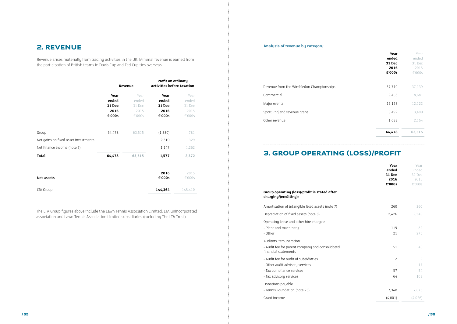## 2. REVENUE

Revenue arises materially from trading activities in the UK. Minimal revenue is earned from the participation of British teams in Davis Cup and Fed Cup ties overseas.

|                                      | Revenue         |                 | Profit on ordinary<br>activities before taxation |                 |  |
|--------------------------------------|-----------------|-----------------|--------------------------------------------------|-----------------|--|
|                                      | Year            | Year            | Year                                             | Year            |  |
|                                      | ended<br>31 Dec | ended<br>31 Dec | ended<br>31 Dec                                  | ended<br>31 Dec |  |
|                                      | 2016            | 2015            | 2016                                             | 2015            |  |
|                                      | £'000s          | £'000s          | £'000s                                           | £'000s          |  |
|                                      |                 |                 |                                                  |                 |  |
| Group                                | 64,478          | 63,515          | (1,880)                                          | 781             |  |
| Net gains on fixed asset investments |                 |                 | 2,310                                            | 329             |  |
| Net finance income (note 5)          |                 |                 | 1,147                                            | 1,262           |  |
| <b>Total</b>                         | 64,478          | 63,515          | 1,577                                            | 2,372           |  |
| <b>Net assets</b>                    |                 |                 | 2016<br>£'000s                                   | 2015<br>£'000s  |  |
| LTA Group                            |                 |                 | 144,364                                          | 145,410         |  |

The LTA Group figures above include the Lawn Tennis Association Limited, LTA unincorporated association and Lawn Tennis Association Limited subsidiaries (excluding The LTA Trust).

| Year<br>ended<br>31 Dec<br>2016<br>£'000s | Year<br>ended<br>31 Dec<br>2015<br>£'000s |
|-------------------------------------------|-------------------------------------------|
| 37,719                                    | 37,139                                    |
| 9,456                                     | 8.681                                     |
| 12,128                                    | 12,122                                    |
| 3,492                                     | 3,409                                     |
| 1,683                                     | 2.164                                     |
| 64,478                                    | 63,515                                    |

### 3. GROUP OPERATING (LOSS)/PROFIT

#### **Group operating (loss)/profit is stated after charging/(crediting):**

|                                                                                                                                  | Year<br>ended<br>31 Dec<br>2016<br>£'000s | Year<br>Ended<br>31 Dec<br>2015<br>£'000s |
|----------------------------------------------------------------------------------------------------------------------------------|-------------------------------------------|-------------------------------------------|
| Group operating (loss)/profit is stated after<br>charging/(crediting):                                                           |                                           |                                           |
| Amortisation of intangible fixed assets (note 7)                                                                                 | 260                                       | 260                                       |
| Depreciation of fixed assets (note 8)                                                                                            | 2,426                                     | 2,343                                     |
| Operating lease and other hire charges:<br>- Plant and machinery<br>- Other                                                      | 119<br>21                                 | 82<br>275                                 |
| Auditors' remuneration:<br>- Audit fee for parent company and consolidated<br>financial statements                               | 51                                        | 43                                        |
| - Audit fee for audit of subsidiaries<br>- Other audit advisory services<br>- Tax compliance services<br>- Tax advisory services | $\overline{c}$<br>57<br>64                | $\overline{c}$<br>17<br>54<br>103         |
| Donations payable:<br>- Tennis Foundation (note 20)                                                                              | 7,348                                     | 7,076                                     |
| Grant income                                                                                                                     | (4,001)                                   | (4,026)                                   |

- Audit fee for audit of subsidiaries
- Other audit advisory services
- Tax compliance services
- Tax advisory services

#### **Analysis of revenue by category:**

# Revenue from the Wimbledon Championships Commercial Major events Sport England revenue grant Other revenue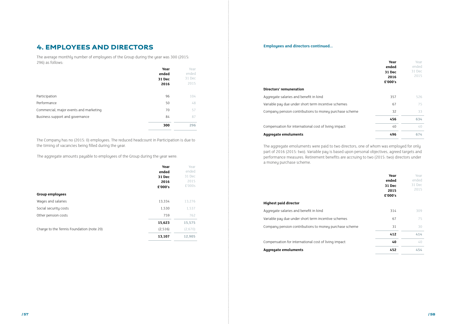#### **Directors' remuneration**

Aggregate salaries and benefit in kind Variable pay due under short term incentive schemes Company pension contributions to money purchase

Compensation for international cost of living impact

|        | Year<br>ended<br>31 Dec<br>2016<br>£'000's | Year<br>ended<br>31 Dec<br>2015 |
|--------|--------------------------------------------|---------------------------------|
|        | 357                                        | 526                             |
| S      | 67                                         | 75                              |
| scheme | 32                                         | 33                              |
|        | 456                                        | 634                             |
|        | 40                                         | 40                              |
|        | 496                                        | 674                             |

#### **Aggregate emoluments 496 674**

The aggregate emoluments were paid to two directors, one of whom was employed for only part of 2016 (2015: two). Variable pay is based upon personal objectives, agreed targets and performance measures. Retirement benefits are accruing to two (2015: two) directors under a money purchase scheme.

#### **Highest paid director**

Aggregate salaries and benefit in kind Variable pay due under short term incentive schemes Company pension contributions to money purchase

|        | Year<br>ended<br>31 Dec<br>2015<br>£'000's | Year<br>ended<br>31 Dec<br>2015 |
|--------|--------------------------------------------|---------------------------------|
|        | 314                                        | 309                             |
| Ś      | 67                                         | 75                              |
| scheme | 31                                         | 30                              |
|        | 412                                        | 414                             |
|        | 40                                         | 40                              |
|        | 452                                        | 454                             |

Compensation for international cost of living impact **40** 40

**Aggregate emoluments 452 454**

## 4. EMPLOYEES AND DIRECTORS

The average monthly number of employees of the Group during the year was 300 (2015: 296) as follows:

|                                        | Year   | Year   |
|----------------------------------------|--------|--------|
|                                        | ended  | ended  |
|                                        | 31 Dec | 31 Dec |
|                                        | 2016   | 2015   |
|                                        |        |        |
| Participation                          | 96     | 104    |
| Performance                            | 50     | 48     |
| Commercial, major events and marketing | 70     | 57     |
| Business support and governance        | 84     | 87     |
|                                        | 300    | 296    |

#### **Employees and directors continued...**

The Company has no (2015: 0) employees. The reduced headcount in Participation is due to the timing of vacancies being filled during the year.

The aggregate amounts payable to employees of the Group during the year were:

|                                           | Year<br>ended<br>31 Dec<br>2016<br>£'000's | Year<br>ended<br>31 Dec<br>2015<br>£'000s |
|-------------------------------------------|--------------------------------------------|-------------------------------------------|
| <b>Group employees</b>                    |                                            |                                           |
| Wages and salaries                        | 13,334                                     | 13,276                                    |
| Social security costs                     | 1,530                                      | 1,537                                     |
| Other pension costs                       | 759                                        | 762                                       |
|                                           | 15,623                                     | 15,575                                    |
| Charge to the Tennis Foundation (note 20) | (2,516)                                    | (2,670)                                   |
|                                           | 13,107                                     | 12,905                                    |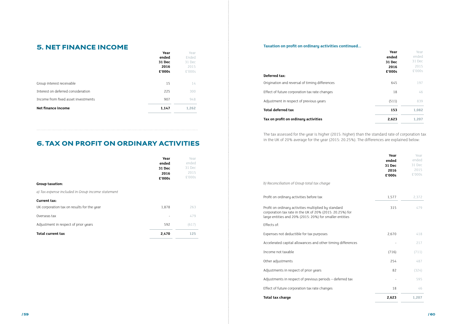| Year<br>ended<br>31 Dec<br>2016<br>£'000s | Year<br>ended<br>31 Dec<br>2015<br>£'000s |
|-------------------------------------------|-------------------------------------------|
| 645                                       | 197                                       |
| 18                                        | 46                                        |
| (511)                                     | 839                                       |
| 153                                       | 1,082                                     |
| 2,623                                     | 1,207                                     |

#### **Deferred tax:**

Origination and reversal of timing differences

Effect of future corporation tax rate changes

Adjustment in respect of previous years

#### **1533** Total deferred tax

#### **Tax on profit on ordinary activities 2,623 1,207**

### 5. NET FINANCE INCOME

|                                     | Year   | Year   |  |
|-------------------------------------|--------|--------|--|
|                                     | ended  | Ended  |  |
|                                     | 31 Dec | 31 Dec |  |
|                                     | 2016   | 2015   |  |
|                                     | £'000s | £'000s |  |
|                                     |        |        |  |
| Group interest receivable           | 15     | 14     |  |
| Interest on deferred consideration  | 225    | 300    |  |
| Income from fixed asset investments | 907    | 948    |  |
| Net finance income                  | 1,147  | 1,262  |  |
|                                     |        |        |  |

# 6. TAX ON PROFIT ON ORDINARY ACTIVITIES

Profit on ordinary activities multiplied by standard corporation tax rate in the UK of 20% (2015: 20.25%) large entities and 20% (2015: 20%) for smaller entities

| <b>Group taxation:</b><br>a) Tax expense included in Group income statement | Year<br>ended<br><b>31 Dec</b><br>2016<br>£'000s | Year<br>ended<br>31 Dec<br>2015<br>£'000s |
|-----------------------------------------------------------------------------|--------------------------------------------------|-------------------------------------------|
| Current tax:<br>UK corporation tax on results for the year                  | 1,878                                            | 263                                       |
| Overseas tax                                                                |                                                  | 479                                       |
| Adjustment in respect of prior years<br><b>Total current tax</b>            | 592<br>2,470                                     | (617)<br>125                              |

#### **Taxation on profit on ordinary activities continued...**

The tax assessed for the year is higher (2015: higher) than the standard rate of corporation tax in the UK of 20% average for the year (2015: 20.25%). The differences are explained below:

*b) Reconciliation of Group total tax charge*

Profit on ordinary activities before tax

|           | Year<br>ended<br>31 Dec<br>2016<br>£'000s | Year<br>ended<br>31 Dec<br>2015<br>£'000s |
|-----------|-------------------------------------------|-------------------------------------------|
|           | 1,577                                     | 2,372                                     |
| for<br>es | 315                                       | 479                                       |
|           | 2,670                                     | 418                                       |
| erences   |                                           | 217                                       |
|           | (716)                                     | (711)                                     |
|           | 254                                       | 487                                       |
|           | 82                                        | (324)                                     |
| d tax     |                                           | 595                                       |
|           | 18                                        | 46                                        |
|           | 2,623                                     | 1,207                                     |

Effects of:

Expenses not deductible for tax purposes

Accelerated capital allowances and other timing diffe

Income not taxable

Other adjustments

Adjustments in respect of prior years

Adjustments in respect of previous periods - deferred

Effect of future corporation tax rate changes

**70tal tax charge**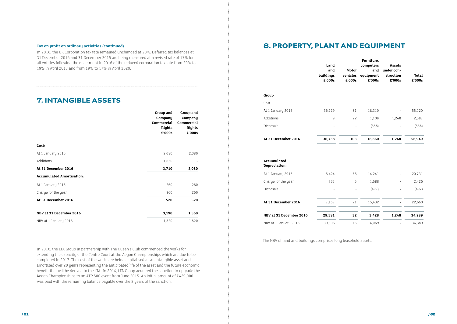### 7. INTANGIBLE ASSETS

|                                  | Group and<br>Company               | Group and<br>Company<br><b>Commercial</b><br><b>Rights</b> |
|----------------------------------|------------------------------------|------------------------------------------------------------|
|                                  | <b>Commercial</b><br><b>Rights</b> |                                                            |
|                                  | £'000s                             | £'000s                                                     |
|                                  |                                    |                                                            |
| Cost:                            |                                    |                                                            |
| At 1 January 2016                | 2,080                              | 2,080                                                      |
| Additions                        | 1,630                              |                                                            |
| At 31 December 2016              | 3,710                              | 2,080                                                      |
| <b>Accumulated Amortisation:</b> |                                    |                                                            |
| At 1 January 2016                | 260                                | 260                                                        |
| Charge for the year              | 260                                | 260                                                        |
| At 31 December 2016              | 520                                | 520                                                        |
| NBV at 31 December 2016          | 3,190                              | 1,560                                                      |
| NBV at 1 January 2016            | 1,820                              | 1,820                                                      |

In 2016, the LTA Group in partnership with The Queen's Club commenced the works for extending the capacity of the Centre Court at the Aegon Championships which are due to be completed in 2017. The cost of the works are being capitalised as an intangible asset and amortised over 20 years representing the anticipated life of the asset and the future economic benefit that will be derived to the LTA. In 2014, LTA Group acquired the sanction to upgrade the Aegon Championships to an ATP 500 event from June 2015. An initial amount of £429,000 was paid with the remaining balance payable over the 8 years of the sanction.

# 8. PROPERTY, PLANT AND EQUIPMENT

|                                     | Land<br>and<br>buildings<br>£'000s | <b>Motor</b><br>vehicles<br>£'000s | Furniture,<br>computers<br>and<br>equipment<br>£'000s | <b>Assets</b><br>under con-<br>struction<br>£'000s | <b>Total</b><br>£'000s |
|-------------------------------------|------------------------------------|------------------------------------|-------------------------------------------------------|----------------------------------------------------|------------------------|
| Group                               |                                    |                                    |                                                       |                                                    |                        |
| Cost:                               |                                    |                                    |                                                       |                                                    |                        |
| At 1 January 2016                   | 36,729                             | 81                                 | 18,310                                                |                                                    | 55,120                 |
| Additions                           | $\mathsf 9$                        | 22                                 | 1,108                                                 | 1,248                                              | 2,387                  |
| Disposals                           |                                    |                                    | (558)                                                 |                                                    | (558)                  |
| At 31 December 2016                 | 36,738                             | 103                                | 18,860                                                | 1,248                                              | 56,949                 |
| <b>Accumulated</b><br>Depreciation: |                                    |                                    |                                                       |                                                    |                        |
| At 1 January 2016                   | 6,424                              | 66                                 | 14,241                                                |                                                    | 20,731                 |
| Charge for the year                 | 733                                | 5                                  | 1,688                                                 |                                                    | 2,426                  |
| Disposals                           |                                    | $\bar{\phantom{a}}$                | (497)                                                 |                                                    | (497)                  |
| At 31 December 2016                 | 7,157                              | $7\sqrt{1}$                        | 15,432                                                |                                                    | 22,660                 |
| NBV at 31 December 2016             | 29,581                             | 32                                 | 3,428                                                 | 1,248                                              | 34,289                 |
| NBV at 1 January 2016               | 30,305                             | 15                                 | 4,069                                                 |                                                    | 34,389                 |

The NBV of land and buildings comprises long leasehold assets.

In 2016, the UK Corporation tax rate remained unchanged at 20%. Deferred tax balances at 31 December 2016 and 31 December 2015 are being measured at a revised rate of 17% for all entities following the enactment in 2016 of the reduced corporation tax rate from 20% to 19% in April 2017 and from 19% to 17% in April 2020.

#### **Tax on profit on ordinary activities (continued)**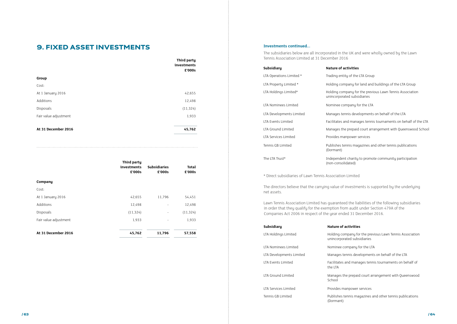### 9. FIXED ASSET INVESTMENTS

|                       | Third party<br>investments<br>£'000s |
|-----------------------|--------------------------------------|
| Group                 |                                      |
| Cost:                 |                                      |
| At 1 January 2016     | 42,655                               |
| Additions             | 12,498                               |
| Disposals             | (11, 324)                            |
| Fair value adjustment | 1,933                                |
| At 31 December 2016   | 45,762                               |

|                       | Third party<br>investments<br>£'000s | <b>Subsidiaries</b><br>£'000s | <b>Total</b><br>£'000s |
|-----------------------|--------------------------------------|-------------------------------|------------------------|
| Company               |                                      |                               |                        |
| Cost:                 |                                      |                               |                        |
| At 1 January 2016     | 42,655                               | 11,796                        | 54,451                 |
| Additions             | 12,498                               |                               | 12,498                 |
| Disposals             | (11, 324)                            |                               | (11, 324)              |
| Fair value adjustment | 1,933                                | $\overline{\phantom{a}}$      | 1,933                  |
|                       |                                      |                               |                        |
| At 31 December 2016   | 45,762                               | 11,796                        | 57,558                 |

#### **Investments continued...**

The subsidiaries below are all incorporated in the UK and were wholly owned by the Lawn Tennis Association Limited at 31 December 2016

### **Subsidiary Nature of activities**

- tity of the LTA Group
- mpany for land and buildings of the LTA Group
- mpany for the previous Lawn Tennis Association rated subsidiaries
- company for the LTA
- ennis developments on behalf of the LTA
- and manages tennis tournaments on behalf of the LTA
- he prepaid court arrangement with Queenswood School
- hanpower services
- tennis magazines and other tennis publications
- Int charity to promote community participation olidated)
- 
- The directors believe that the carrying value of investments is supported by the underlying

- mpany for the previous Lawn Tennis Association rated subsidiaries
- company for the LTA
- ennis developments on behalf of the LTA
- and manages tennis tournaments on behalf of
- he prepaid court arrangement with Queenswood
- nanpower services
- tennis magazines and other tennis publications

| <b>Subsidiary</b>        | Nature of a               |
|--------------------------|---------------------------|
| LTA Operations Limited * | Trading ent               |
| LTA Property Limited *   | Holding cor               |
| LTA Holdings Limited*    | Holding cor<br>unincorpor |
| LTA Nominees Limited     | Nominee co                |
| LTA Developments Limited | Manages te                |
| LTA Events Limited       | Facilitates a             |
| LTA Ground Limited       | Manages th                |
| LTA Services Limited     | Provides m                |
| Tennis GB Limited        | Publishes to<br>(Dormant) |
| The LTA Trust*           | Independer<br>(non-conso  |
|                          |                           |

\* Direct subsidiaries of Lawn Tennis Association Limited

net assets.

Lawn Tennis Association Limited has guaranteed the liabilities of the following subsidiaries in order that they qualify for the exemption from audit under Section 479A of the Companies Act 2006 in respect of the year ended 31 December 2016.

| Subsidiary               | <b>Nature of activities</b>                  |
|--------------------------|----------------------------------------------|
| LTA Holdings Limited     | Holding company for<br>unincorporated subsi- |
| LTA Nominees Limited     | Nominee company fo                           |
| LTA Developments Limited | Manages tennis devel                         |
| LTA Events Limited       | Facilitates and mana<br>the LTA              |
| LTA Ground Limited       | Manages the prepaid<br>School                |
| LTA Services Limited     | Provides manpower so                         |
| Tennis GB Limited        | Publishes tennis mag<br>(Dormant)            |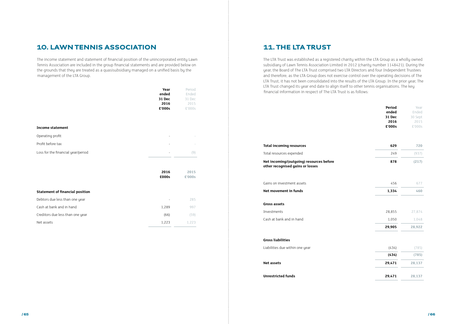### 10. LAWN TENNIS ASSOCIATION

The income statement and statement of financial position of the unincorporated entity Lawn Tennis Association are included in the group financial statements and are provided below on the grounds that they are treated as a quasisubsidiary managed on a unified basis by the management of the LTA Group.

|                                        | Year<br>ended<br>31 Dec<br>2016<br>£'000s | Period<br>Ended<br>31 Dec<br>2015<br>£'000s |
|----------------------------------------|-------------------------------------------|---------------------------------------------|
| <b>Income statement</b>                |                                           |                                             |
| Operating profit                       |                                           |                                             |
| Profit before tax                      |                                           |                                             |
| Loss for the financial year/period     |                                           | (9)                                         |
|                                        | 2016<br>£000s                             | 2015<br>£'000s                              |
| <b>Statement of financial position</b> |                                           |                                             |
| Debtors due less than one year         |                                           | 285                                         |
| Cash at bank and in hand               | 1,289                                     | 997                                         |
| Creditors due less than one year       | (66)                                      | (59)                                        |

Net assets  $1,223$   $1,223$   $1,223$ 

### 11. THE LTA TRUST

The LTA Trust was established as a registered charity within the LTA Group as a wholly owned subsidiary of Lawn Tennis Association Limited in 2012 (charity number 1148421). During the year, the Board of The LTA Trust comprised two LTA Directors and four Independent Trustees and therefore, as the LTA Group does not exercise control over the operating decisions of The LTA Trust, it has not been consolidated into the results of the LTA Group. In the prior year, The LTA Trust changed its year end date to align itself to other tennis organisations. The key financial information in respect of The LTA Trust is as follows:

#### **Total incoming resources 629 720**

#### Total resources expended

#### **Net incoming/(outgoing) resources before other recognised gains or losses**

#### Gains on investment assets

**Net movement in funds** 

| Period<br>ended<br>31 Dec<br>2016 | Year<br>Ended<br>30 Sept<br>2015 |
|-----------------------------------|----------------------------------|
| £'000s                            | £'000s                           |
| 629                               | 720                              |
| 249                               | (937)                            |
| 878                               | (217)                            |
| 456                               | 677                              |
| 1,334                             | 460                              |
| 28,855                            | 27,874                           |
| 1,050                             | 1,048                            |
| 29,905                            | 28,922                           |
| (434)                             | (785)                            |
| (434)                             | (785)                            |
| 29,471                            | 28,137                           |
| 29,471                            | 28,137                           |

#### **Gross assets**

Investments

Cash at bank and in hand

#### **Gross liabilities**

Liabilities due within one year

**Net assets 29,471 28,137**

#### **Unrestricted funds**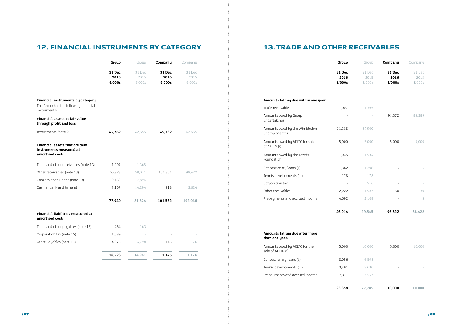# 12. FINANCIAL INSTRUMENTS BY CATEGORY 13. TRADE AND OTHER RECEIVABLES

|                                                                                                   | Group                    | Group                    | Company                  | Company                  |
|---------------------------------------------------------------------------------------------------|--------------------------|--------------------------|--------------------------|--------------------------|
|                                                                                                   | 31 Dec<br>2016<br>£'000s | 31 Dec<br>2015<br>£'000s | 31 Dec<br>2016<br>£'000s | 31 Dec<br>2015<br>£'000s |
| <b>Financial instruments by category</b><br>The Group has the following financial<br>instruments: |                          |                          |                          |                          |
| Financial assets at fair value<br>through profit and loss:                                        |                          |                          |                          |                          |
| Investments (note 9)                                                                              | 45,762                   | 42,655                   | 45,762                   | 42,655                   |
| Financial assets that are debt<br>instruments measured at<br>amortised cost:                      |                          |                          |                          |                          |
| Trade and other receivables (note 13)                                                             | 1,007                    | 1,365                    |                          |                          |
| Other receivables (note 13)                                                                       | 60,328                   | 58,071                   | 101,304                  | 98,422                   |
| Concessionary loans (note 13)                                                                     | 9,438                    | 7,894                    |                          |                          |
| Cash at bank and in hand                                                                          | 7,167                    | 14,294                   | 218                      | 3,624                    |
|                                                                                                   | 77,940                   | 81,624                   | 101,522                  | 102,046                  |
| <b>Financial liabilities measured at</b><br>amortised cost:                                       |                          |                          |                          |                          |
| Trade and other payables (note 15)                                                                | 464                      | 163                      |                          |                          |
| Corporation tax (note 15)                                                                         | 1,089                    |                          |                          |                          |
| Other Payables (note 15)                                                                          | 14,975                   | 14,798                   | 1,145                    | 1,176                    |
|                                                                                                   | 16,528                   | 14,961                   | 1,145                    | 1,176                    |

|                                                | Group                    | Group                    | Company                  | Company                  |
|------------------------------------------------|--------------------------|--------------------------|--------------------------|--------------------------|
|                                                | 31 Dec<br>2016<br>£'000s | 31 Dec<br>2015<br>£'000s | 31 Dec<br>2016<br>£'000s | 31 Dec<br>2015<br>£'000s |
| Amounts falling due within one year:           |                          |                          |                          |                          |
| Trade receivables                              | 1,007                    | 1,365                    |                          |                          |
| Amounts owed by Group<br>undertakings          |                          |                          | 91,372                   | 83,389                   |
| Amounts owed by the Wimbledon<br>Championships | 31,388                   | 24,900                   |                          |                          |
| Amounts owed by AELTC for sale<br>of AELTG (i) | 5,000                    | 5,000                    | 5,000                    | 5,000                    |
| Amounts owed by the Tennis<br>Foundation       | 1,045                    | 1,534                    |                          |                          |
| Concessionary loans (ii)                       | 1,382                    | 1,296                    |                          |                          |
| Tennis developments (iii)                      | 178                      | 178                      |                          |                          |
| Corporation tax                                |                          | 516                      |                          |                          |
| Other receivables                              | 2,222                    | 1,587                    | 150                      | 30                       |
| Prepayments and accrued income                 | 4,692                    | 3,169                    |                          | 3                        |
|                                                | 46,914                   | 39,545                   | 96,522                   | 88,422                   |
|                                                |                          |                          |                          |                          |

| Amounts falling due after more<br>than one year:   |        |        |        |        |
|----------------------------------------------------|--------|--------|--------|--------|
| Amounts owed by AELTC for the<br>sale of AELTG (i) | 5.000  | 10.000 | 5.000  | 10.000 |
| Concessionary loans (ii)                           | 8.056  | 6,598  |        |        |
| Tennis developments (iii)                          | 3.491  | 3.630  |        |        |
| Prepayments and accrued income                     | 7.311  | 7.557  |        |        |
|                                                    | 23,858 | 27,785 | 10,000 | 10,000 |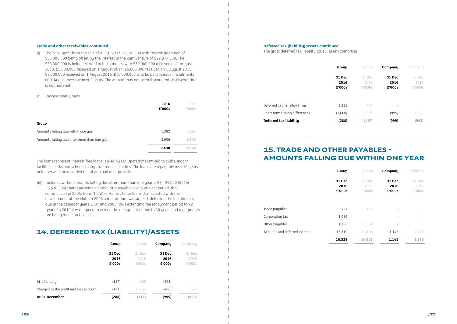#### **Trade and other receivables continued...**

(i) The book profit from the sale of AELTG was £32,126,000 with the consideration of £55,000,000 being offset by the interest in the joint venture of £22,874,000. The £55,000,000 is being received in instalments, with £30,000,000 received on 1 August 2013, £5,000,000 received on 1 August 2014, £5,000,000 received on 1 August 2015, £5,000,000 received on 1 August 2016. £10,000,000 is to be paid in equal instalments on 1 August over the next 2 years. The amount has not been discounted, as discounting is not material.

#### (ii) Concessionary loans

|                                              | 2016<br>£'000s | 2015<br>£'000s |
|----------------------------------------------|----------------|----------------|
| Group                                        |                |                |
| Amounts falling due within one year          | 1,382          | 1,296          |
| Amounts falling due after more than one year | 8,056          | 6,598          |
|                                              | 9,438          | 7,894          |

The loans represent interest free loans issued by LTA Operations Limited to clubs, indoor facilities, parks and schools to improve tennis facilities. The loans are repayable over 10 years or longer and are recorded net of any bad debt provision.

(iii) Included within amounts falling due after more than one year is £3,491,000 (2015: £3,630,000) that represents an amount repayable over a 20 year period, that commenced in 2005, from The West Hants LTC for loans that assisted with the development of the club. In 2006 a moratorium was agreed, deferring the instalments due in the calendar years 2007 and 2008, thus extending the repayment period to 22 years. In 2010 it was agreed to extend the repayment period to 30 years and repayments are being made on this basis.

### 14. DEFERRED TAX (LIABILITY)/ASSETS

|                                        | Group                    | Group                    | Company                  | Company                  |
|----------------------------------------|--------------------------|--------------------------|--------------------------|--------------------------|
|                                        | 31 Dec<br>2016<br>£'000s | 31 Dec<br>2015<br>£'000s | 31 Dec<br>2016<br>£'000s | 31 Dec<br>2015<br>£'000s |
| At 1 January                           | (117)                    | 965                      | (593)                    |                          |
| Charged to the profit and loss account | (171)                    | (1,082)                  | (406)                    | (593)                    |
| At 31 December                         | (288)                    | (117)                    | (999)                    | (593)                    |

#### **Deferred tax (liability)/assets continued...**

The gross deferred tax liability (2015: asset) comprises:

|                               | <b>Group</b>             | Group                    | Company                  | Company                  |
|-------------------------------|--------------------------|--------------------------|--------------------------|--------------------------|
|                               | 31 Dec<br>2016<br>£'000s | 31 Dec<br>2015<br>£'000s | 31 Dec<br>2016<br>£'000s | 31 Dec<br>2015<br>£'000s |
| Deferred capital allowances   | 1,312                    | 474                      | $\overline{\phantom{a}}$ |                          |
| Short term timing differences | (1,600)                  | (591)                    | (999)                    | (593)                    |
| Deferred tax liability        | (288)                    | (117)                    | (999)                    | (593)                    |

### 15. TRADE AND OTHER PAYABLES - AMOUNTS FALLING DUE WITHIN ONE YEAR

|                              | Group                    | Group                    | Company                  | Company                  |
|------------------------------|--------------------------|--------------------------|--------------------------|--------------------------|
|                              | 31 Dec<br>2016<br>£'000s | 31 Dec<br>2015<br>£'000s | 31 Dec<br>2016<br>£'000s | 31 Dec<br>2015<br>£'000s |
| Trade payables               | 464                      | 163                      |                          |                          |
| Corporation tax              | 1,089                    |                          | $\overline{\phantom{a}}$ |                          |
| Other payables               | 1,156                    | 1,694                    |                          |                          |
| Accruals and deferred income | 13,819                   | 13,104                   | 1,145                    | 1,176                    |
|                              | 16,528                   | 14,961                   | 1,145                    | 1,176                    |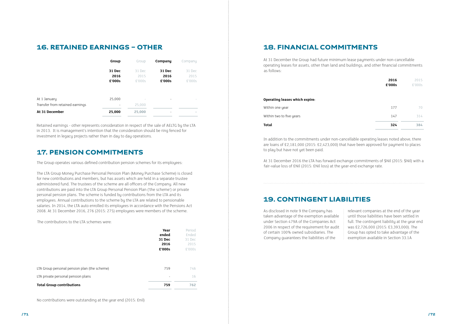### 16. RETAINED EARNINGS – OTHER

|                                                 | Group                              | Group                    | Company                  | Company                  |
|-------------------------------------------------|------------------------------------|--------------------------|--------------------------|--------------------------|
|                                                 | 31 Dec<br>2016<br>£'000s           | 31 Dec<br>2015<br>£'000s | 31 Dec<br>2016<br>£'000s | 31 Dec<br>2015<br>£'000s |
| At 1 January<br>Transfer from retained earnings | 25,000<br>$\overline{\phantom{a}}$ | 25,000                   | $\overline{\phantom{0}}$ |                          |
| At 31 December                                  | 25,000                             | 25,000                   |                          | <b>COL</b>               |

Retained earnings - other represents consideration in respect of the sale of AELTG by the LTA in 2013. It is management's intention that the consideration should be ring fenced for investment in legacy projects rather than in day to day operations.

### 17. PENSION COMMITMENTS

The Group operates various defined contribution pension schemes for its employees:

The LTA Group Money Purchase Personal Pension Plan (Money Purchase Scheme) is closed for new contributions and members, but has assets which are held in a separate trustee administered fund. The trustees of the scheme are all officers of the Company. All new contributions are paid into the LTA Group Personal Pension Plan ('the scheme') or private personal pension plans. The scheme is funded by contributions from the LTA and its employees. Annual contributions to the scheme by the LTA are related to pensionable salaries. In 2014, the LTA auto enrolled its employees in accordance with the Pensions Act 2008. At 31 December 2016, 276 (2015: 275) employees were members of the scheme.

The contributions to the LTA schemes were:

|                                              | Year<br>ended<br>31 Dec<br>2016<br>£'000s | Period<br>Ended<br>31 Dec<br>2015<br>£'000s |
|----------------------------------------------|-------------------------------------------|---------------------------------------------|
| LTA Group personal pension plan (the scheme) | 759                                       | 746                                         |
| LTA private personal pension plans           |                                           | 16                                          |
| <b>Total Group contributions</b>             | 759                                       | 762                                         |

No contributions were outstanding at the year end (2015: £nil)

### 18. FINANCIAL COMMITMENTS

At 31 December the Group had future minimum lease payments under non-cancellable operating leases for assets, other than land and buildings, and other financial commitments as follows:

#### **Operating leases which expire:**

|                                       | 2016   | 2015   |
|---------------------------------------|--------|--------|
|                                       | £'000s | £'000s |
|                                       |        |        |
| <b>Operating leases which expire:</b> |        |        |
| Within one year                       | 177    | 70     |
| Within two to five years              | 147    | 314    |
| Total                                 | 324    | 384    |

In addition to the commitments under non-cancellable operating leases noted above, there are loans of £2,181,000 (2015: £2,423,000) that have been approved for payment to places to play but have not yet been paid.

At 31 December 2016 the LTA has forward exchange commitments of \$Nil (2015: \$Nil) with a fair-value loss of £Nil (2015: £Nil loss) at the year-end exchange rate.

### 19. CONTINGENT LIABILITIES

As disclosed in note 9 the Company has taken advantage of the exemption available under Section 479A of the Companies Act 2006 in respect of the requirement for audit of certain 100% owned subsidiaries. The Company guarantees the liabilities of the

relevant companies at the end of the year until those liabilities have been settled in full. The contingent liability at the year end was £2,726,000 (2015: £3,393,000). The Group has opted to take advantage of the exemption available in Section 33.1A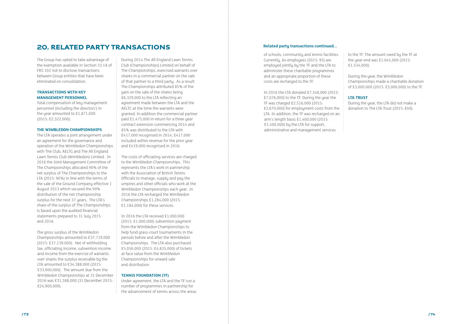The Group has opted to take advantage of the exemption available in Section 33.1A of FRS 102 not to disclose transactions between Group entities that have been eliminated on consolidation.

#### **TRANSACTIONS WITH KEY MANAGEMENT PERSONNEL**

Total compensation of key management personnel (including the directors') in the year amounted to £1,871,000 (2015: £2,322,000).

#### **THE WIMBLEDON CHAMPIONSHIPS**

The LTA operates a joint arrangement under an agreement for the governance and operation of the Wimbledon Championships with The Club, AELTG and The All England Lawn Tennis Club (Wimbledon) Limited. In 2016 the Joint Management Committee of The Championships allocated 90% of the net surplus of The Championships to the LTA (2015: 90%) in line with the terms of the sale of the Ground Company effective 1 August 2013 which secured the 90% distribution of the net Championship surplus for the next 37 years. The LTA's share of the surplus of The Championships is based upon the audited financial statements prepared to 31 July 2015 and 2016.

The gross surplus of the Wimbledon Championships amounted to £37,719,000 (2015: £37,139,000). Net of withholding tax, officiating income, subvention income and income from the exercise of warrants over shares the surplus receivable by the LTA amounted to £34,388,000 (2015: £33,900,000). The amount due from the Wimbledon Championships at 31 December 2016 was £31,388,000 (31 December 2015: £24,900,000).

During 2014 The All England Lawn Tennis Club (Championships) Limited on behalf of The Championships, exercised warrants over shares in a commercial partner on the sale of that partner to a third party. As a result The Championships attributed 85% of the gain on the sale of the shares being £6,329,000 to the LTA reflecting an agreement made between the LTA and the AELTC at the time the warrants were granted. In addition the commercial partner paid £1,475,000 in return for a three year contract extension commencing 2014 and 85% was distributed to the LTA with £417,000 recognised in 2014, £417,000 included within revenue for the prior year and £419,000 recognised in 2016.

The costs of officiating services are charged to the Wimbledon Championships. This represents the LTA's work in partnership with the Association of British Tennis Officials to manage, supply and pay the umpires and other officials who work at the Wimbledon Championships each year. In 2016 the LTA recharged the Wimbledon Championships £1,284,000 (2015: £1,184,000) for these services.

In 2016 the LTA received £1,000,000 (2015: £1,000,000) subvention payment from the Wimbledon Championships to help fund grass-court tournaments in the periods before and after the Wimbledon Championships. The LTA also purchased £5,056,000 (2015: £4,835,000) of tickets at face value from the Wimbledon Championships for onward sale and distribution.

#### **TENNIS FOUNDATION (TF)**

Under agreement, the LTA and the TF run a number of programmes in partnership for the advancement of tennis across the areas

### 20. RELATED PARTY TRANSACTIONS

of schools, community and tennis facilities. Currently, 84 employees (2015: 95) are employed jointly by the TF and the LTA to administer these charitable programmes and an appropriate proportion of these costs are recharged to the TF.

In 2016 the LTA donated £7,348,000 (2015: £7,076,000) to the TF. During the year the TF was charged £2,516,000 (2015: £2,670,000) for employment costs from the LTA. In addition, the TF was recharged on an arm's length basis £1,400,000 (2015: £1,400,000) by the LTA for support, administrative and management services

to the TF. The amount owed by the TF at the year-end was £1,045,000 (2015: £1,534,000).

During the year, the Wimbledon Championships made a charitable donation of £3,000,000 (2015: £3,000,000) to the TF.

### **LTA TRUST**

During the year, the LTA did not make a donation to The LTA Trust (2015: £nil).

#### **Related party transactions continued...**